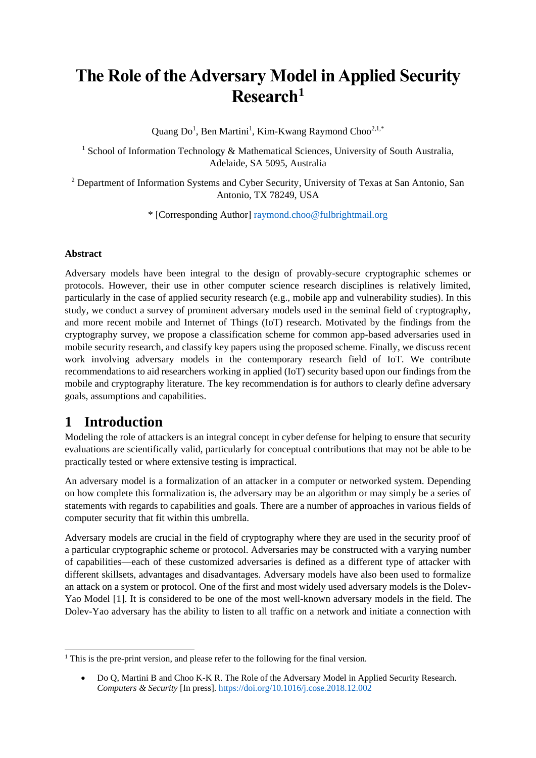# **The Role of the Adversary Model in Applied Security Research<sup>1</sup>**

Quang Do<sup>1</sup>, Ben Martini<sup>1</sup>, Kim-Kwang Raymond Choo<sup>2,1,\*</sup>

<sup>1</sup> School of Information Technology & Mathematical Sciences, University of South Australia, Adelaide, SA 5095, Australia

 $2$  Department of Information Systems and Cyber Security, University of Texas at San Antonio, San Antonio, TX 78249, USA

\* [Corresponding Author] [raymond.choo@fulbrightmail.org](mailto:raymond.choo@fulbrightmail.org)

#### **Abstract**

Adversary models have been integral to the design of provably-secure cryptographic schemes or protocols. However, their use in other computer science research disciplines is relatively limited, particularly in the case of applied security research (e.g., mobile app and vulnerability studies). In this study, we conduct a survey of prominent adversary models used in the seminal field of cryptography, and more recent mobile and Internet of Things (IoT) research. Motivated by the findings from the cryptography survey, we propose a classification scheme for common app-based adversaries used in mobile security research, and classify key papers using the proposed scheme. Finally, we discuss recent work involving adversary models in the contemporary research field of IoT. We contribute recommendations to aid researchers working in applied (IoT) security based upon our findings from the mobile and cryptography literature. The key recommendation is for authors to clearly define adversary goals, assumptions and capabilities.

## **1 Introduction**

1

Modeling the role of attackers is an integral concept in cyber defense for helping to ensure that security evaluations are scientifically valid, particularly for conceptual contributions that may not be able to be practically tested or where extensive testing is impractical.

An adversary model is a formalization of an attacker in a computer or networked system. Depending on how complete this formalization is, the adversary may be an algorithm or may simply be a series of statements with regards to capabilities and goals. There are a number of approaches in various fields of computer security that fit within this umbrella.

Adversary models are crucial in the field of cryptography where they are used in the security proof of a particular cryptographic scheme or protocol. Adversaries may be constructed with a varying number of capabilities—each of these customized adversaries is defined as a different type of attacker with different skillsets, advantages and disadvantages. Adversary models have also been used to formalize an attack on a system or protocol. One of the first and most widely used adversary models is the Dolev-Yao Model [1]. It is considered to be one of the most well-known adversary models in the field. The Dolev-Yao adversary has the ability to listen to all traffic on a network and initiate a connection with

 $<sup>1</sup>$  This is the pre-print version, and please refer to the following for the final version.</sup>

Do Q, Martini B and Choo K-K R. The Role of the Adversary Model in Applied Security Research. *Computers & Security* [In press].<https://doi.org/10.1016/j.cose.2018.12.002>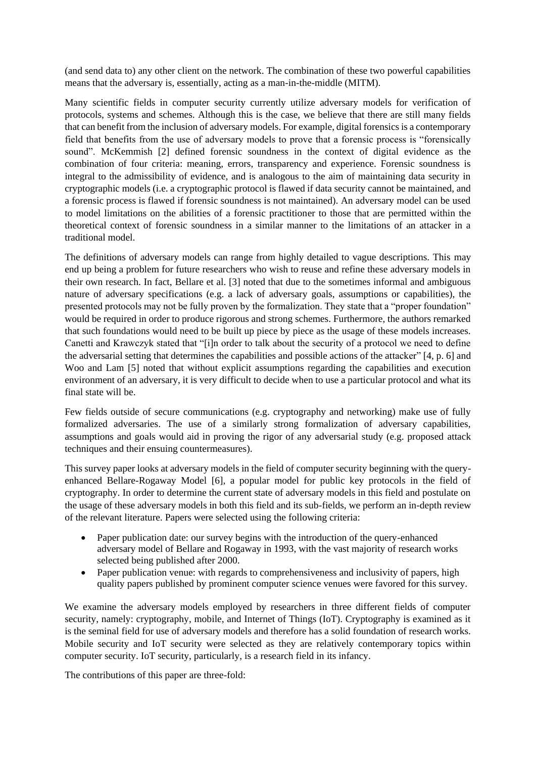(and send data to) any other client on the network. The combination of these two powerful capabilities means that the adversary is, essentially, acting as a man-in-the-middle (MITM).

Many scientific fields in computer security currently utilize adversary models for verification of protocols, systems and schemes. Although this is the case, we believe that there are still many fields that can benefit from the inclusion of adversary models. For example, digital forensics is a contemporary field that benefits from the use of adversary models to prove that a forensic process is "forensically sound". McKemmish [2] defined forensic soundness in the context of digital evidence as the combination of four criteria: meaning, errors, transparency and experience. Forensic soundness is integral to the admissibility of evidence, and is analogous to the aim of maintaining data security in cryptographic models (i.e. a cryptographic protocol is flawed if data security cannot be maintained, and a forensic process is flawed if forensic soundness is not maintained). An adversary model can be used to model limitations on the abilities of a forensic practitioner to those that are permitted within the theoretical context of forensic soundness in a similar manner to the limitations of an attacker in a traditional model.

The definitions of adversary models can range from highly detailed to vague descriptions. This may end up being a problem for future researchers who wish to reuse and refine these adversary models in their own research. In fact, Bellare et al. [3] noted that due to the sometimes informal and ambiguous nature of adversary specifications (e.g. a lack of adversary goals, assumptions or capabilities), the presented protocols may not be fully proven by the formalization. They state that a "proper foundation" would be required in order to produce rigorous and strong schemes. Furthermore, the authors remarked that such foundations would need to be built up piece by piece as the usage of these models increases. Canetti and Krawczyk stated that "[i]n order to talk about the security of a protocol we need to define the adversarial setting that determines the capabilities and possible actions of the attacker" [4, p. 6] and Woo and Lam [5] noted that without explicit assumptions regarding the capabilities and execution environment of an adversary, it is very difficult to decide when to use a particular protocol and what its final state will be.

Few fields outside of secure communications (e.g. cryptography and networking) make use of fully formalized adversaries. The use of a similarly strong formalization of adversary capabilities, assumptions and goals would aid in proving the rigor of any adversarial study (e.g. proposed attack techniques and their ensuing countermeasures).

This survey paper looks at adversary models in the field of computer security beginning with the queryenhanced Bellare-Rogaway Model [6], a popular model for public key protocols in the field of cryptography. In order to determine the current state of adversary models in this field and postulate on the usage of these adversary models in both this field and its sub-fields, we perform an in-depth review of the relevant literature. Papers were selected using the following criteria:

- Paper publication date: our survey begins with the introduction of the query-enhanced adversary model of Bellare and Rogaway in 1993, with the vast majority of research works selected being published after 2000.
- Paper publication venue: with regards to comprehensiveness and inclusivity of papers, high quality papers published by prominent computer science venues were favored for this survey.

We examine the adversary models employed by researchers in three different fields of computer security, namely: cryptography, mobile, and Internet of Things (IoT). Cryptography is examined as it is the seminal field for use of adversary models and therefore has a solid foundation of research works. Mobile security and IoT security were selected as they are relatively contemporary topics within computer security. IoT security, particularly, is a research field in its infancy.

The contributions of this paper are three-fold: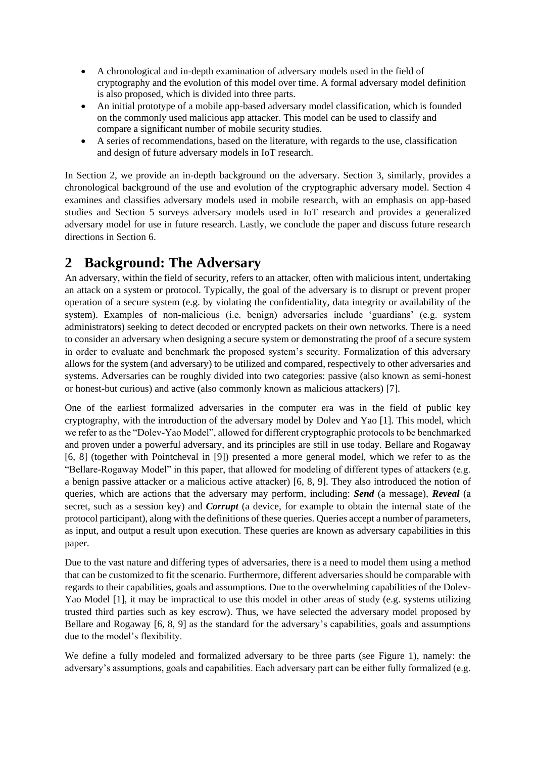- A chronological and in-depth examination of adversary models used in the field of cryptography and the evolution of this model over time. A formal adversary model definition is also proposed, which is divided into three parts.
- An initial prototype of a mobile app-based adversary model classification, which is founded on the commonly used malicious app attacker. This model can be used to classify and compare a significant number of mobile security studies.
- A series of recommendations, based on the literature, with regards to the use, classification and design of future adversary models in IoT research.

In Section 2, we provide an in-depth background on the adversary. Section 3, similarly, provides a chronological background of the use and evolution of the cryptographic adversary model. Section 4 examines and classifies adversary models used in mobile research, with an emphasis on app-based studies and Section 5 surveys adversary models used in IoT research and provides a generalized adversary model for use in future research. Lastly, we conclude the paper and discuss future research directions in Section 6.

## **2 Background: The Adversary**

An adversary, within the field of security, refers to an attacker, often with malicious intent, undertaking an attack on a system or protocol. Typically, the goal of the adversary is to disrupt or prevent proper operation of a secure system (e.g. by violating the confidentiality, data integrity or availability of the system). Examples of non-malicious (i.e. benign) adversaries include 'guardians' (e.g. system administrators) seeking to detect decoded or encrypted packets on their own networks. There is a need to consider an adversary when designing a secure system or demonstrating the proof of a secure system in order to evaluate and benchmark the proposed system's security. Formalization of this adversary allows for the system (and adversary) to be utilized and compared, respectively to other adversaries and systems. Adversaries can be roughly divided into two categories: passive (also known as semi-honest or honest-but curious) and active (also commonly known as malicious attackers) [7].

One of the earliest formalized adversaries in the computer era was in the field of public key cryptography, with the introduction of the adversary model by Dolev and Yao [1]. This model, which we refer to as the "Dolev-Yao Model", allowed for different cryptographic protocols to be benchmarked and proven under a powerful adversary, and its principles are still in use today. Bellare and Rogaway [6, 8] (together with Pointcheval in [9]) presented a more general model, which we refer to as the "Bellare-Rogaway Model" in this paper, that allowed for modeling of different types of attackers (e.g. a benign passive attacker or a malicious active attacker) [6, 8, 9]. They also introduced the notion of queries, which are actions that the adversary may perform, including: *Send* (a message), *Reveal* (a secret, such as a session key) and *Corrupt* (a device, for example to obtain the internal state of the protocol participant), along with the definitions of these queries. Queries accept a number of parameters, as input, and output a result upon execution. These queries are known as adversary capabilities in this paper.

Due to the vast nature and differing types of adversaries, there is a need to model them using a method that can be customized to fit the scenario. Furthermore, different adversaries should be comparable with regards to their capabilities, goals and assumptions. Due to the overwhelming capabilities of the Dolev-Yao Model [1], it may be impractical to use this model in other areas of study (e.g. systems utilizing trusted third parties such as key escrow). Thus, we have selected the adversary model proposed by Bellare and Rogaway [6, 8, 9] as the standard for the adversary's capabilities, goals and assumptions due to the model's flexibility.

We define a fully modeled and formalized adversary to be three parts (see Figure 1), namely: the adversary's assumptions, goals and capabilities. Each adversary part can be either fully formalized (e.g.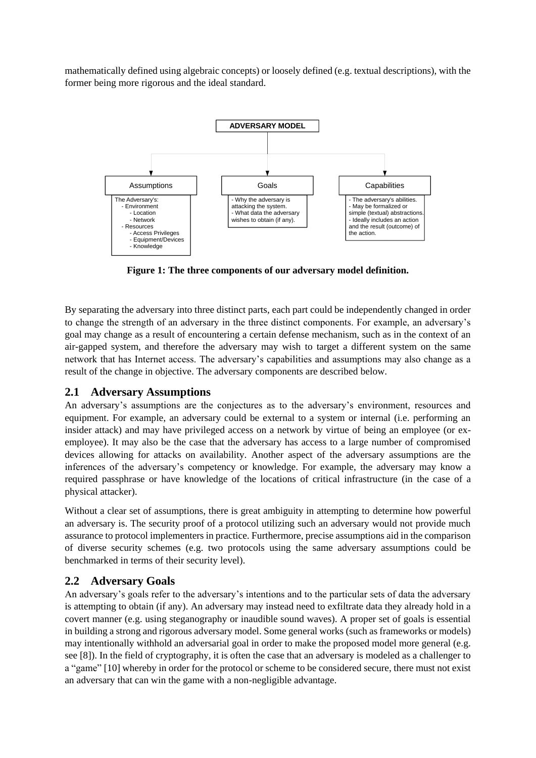mathematically defined using algebraic concepts) or loosely defined (e.g. textual descriptions), with the former being more rigorous and the ideal standard.



**Figure 1: The three components of our adversary model definition.**

By separating the adversary into three distinct parts, each part could be independently changed in order to change the strength of an adversary in the three distinct components. For example, an adversary's goal may change as a result of encountering a certain defense mechanism, such as in the context of an air-gapped system, and therefore the adversary may wish to target a different system on the same network that has Internet access. The adversary's capabilities and assumptions may also change as a result of the change in objective. The adversary components are described below.

#### **2.1 Adversary Assumptions**

An adversary's assumptions are the conjectures as to the adversary's environment, resources and equipment. For example, an adversary could be external to a system or internal (i.e. performing an insider attack) and may have privileged access on a network by virtue of being an employee (or exemployee). It may also be the case that the adversary has access to a large number of compromised devices allowing for attacks on availability. Another aspect of the adversary assumptions are the inferences of the adversary's competency or knowledge. For example, the adversary may know a required passphrase or have knowledge of the locations of critical infrastructure (in the case of a physical attacker).

Without a clear set of assumptions, there is great ambiguity in attempting to determine how powerful an adversary is. The security proof of a protocol utilizing such an adversary would not provide much assurance to protocol implementers in practice. Furthermore, precise assumptions aid in the comparison of diverse security schemes (e.g. two protocols using the same adversary assumptions could be benchmarked in terms of their security level).

#### **2.2 Adversary Goals**

An adversary's goals refer to the adversary's intentions and to the particular sets of data the adversary is attempting to obtain (if any). An adversary may instead need to exfiltrate data they already hold in a covert manner (e.g. using steganography or inaudible sound waves). A proper set of goals is essential in building a strong and rigorous adversary model. Some general works (such as frameworks or models) may intentionally withhold an adversarial goal in order to make the proposed model more general (e.g. see [8]). In the field of cryptography, it is often the case that an adversary is modeled as a challenger to a "game" [10] whereby in order for the protocol or scheme to be considered secure, there must not exist an adversary that can win the game with a non-negligible advantage.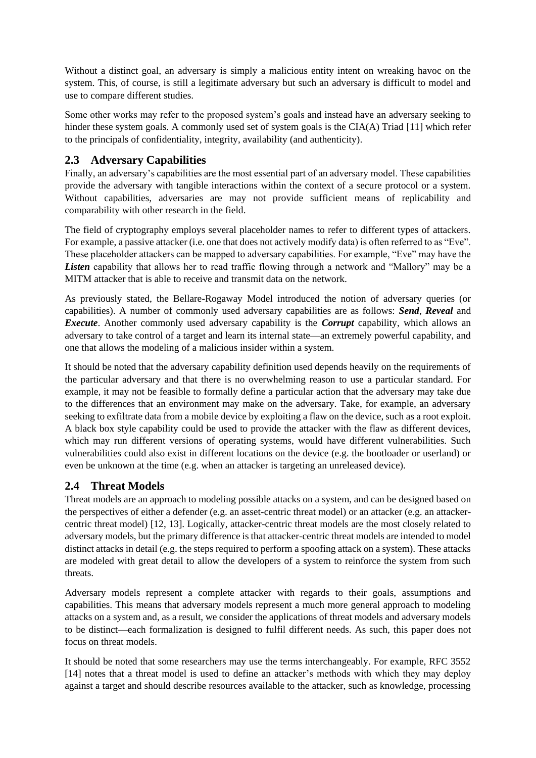Without a distinct goal, an adversary is simply a malicious entity intent on wreaking havoc on the system. This, of course, is still a legitimate adversary but such an adversary is difficult to model and use to compare different studies.

Some other works may refer to the proposed system's goals and instead have an adversary seeking to hinder these system goals. A commonly used set of system goals is the CIA(A) Triad [11] which refer to the principals of confidentiality, integrity, availability (and authenticity).

### **2.3 Adversary Capabilities**

Finally, an adversary's capabilities are the most essential part of an adversary model. These capabilities provide the adversary with tangible interactions within the context of a secure protocol or a system. Without capabilities, adversaries are may not provide sufficient means of replicability and comparability with other research in the field.

The field of cryptography employs several placeholder names to refer to different types of attackers. For example, a passive attacker (i.e. one that does not actively modify data) is often referred to as "Eve". These placeholder attackers can be mapped to adversary capabilities. For example, "Eve" may have the *Listen* capability that allows her to read traffic flowing through a network and "Mallory" may be a MITM attacker that is able to receive and transmit data on the network.

As previously stated, the Bellare-Rogaway Model introduced the notion of adversary queries (or capabilities). A number of commonly used adversary capabilities are as follows: *Send*, *Reveal* and *Execute*. Another commonly used adversary capability is the *Corrupt* capability, which allows an adversary to take control of a target and learn its internal state—an extremely powerful capability, and one that allows the modeling of a malicious insider within a system.

It should be noted that the adversary capability definition used depends heavily on the requirements of the particular adversary and that there is no overwhelming reason to use a particular standard. For example, it may not be feasible to formally define a particular action that the adversary may take due to the differences that an environment may make on the adversary. Take, for example, an adversary seeking to exfiltrate data from a mobile device by exploiting a flaw on the device, such as a root exploit. A black box style capability could be used to provide the attacker with the flaw as different devices, which may run different versions of operating systems, would have different vulnerabilities. Such vulnerabilities could also exist in different locations on the device (e.g. the bootloader or userland) or even be unknown at the time (e.g. when an attacker is targeting an unreleased device).

## **2.4 Threat Models**

Threat models are an approach to modeling possible attacks on a system, and can be designed based on the perspectives of either a defender (e.g. an asset-centric threat model) or an attacker (e.g. an attackercentric threat model) [12, 13]. Logically, attacker-centric threat models are the most closely related to adversary models, but the primary difference is that attacker-centric threat models are intended to model distinct attacks in detail (e.g. the steps required to perform a spoofing attack on a system). These attacks are modeled with great detail to allow the developers of a system to reinforce the system from such threats.

Adversary models represent a complete attacker with regards to their goals, assumptions and capabilities. This means that adversary models represent a much more general approach to modeling attacks on a system and, as a result, we consider the applications of threat models and adversary models to be distinct—each formalization is designed to fulfil different needs. As such, this paper does not focus on threat models.

It should be noted that some researchers may use the terms interchangeably. For example, RFC 3552 [14] notes that a threat model is used to define an attacker's methods with which they may deploy against a target and should describe resources available to the attacker, such as knowledge, processing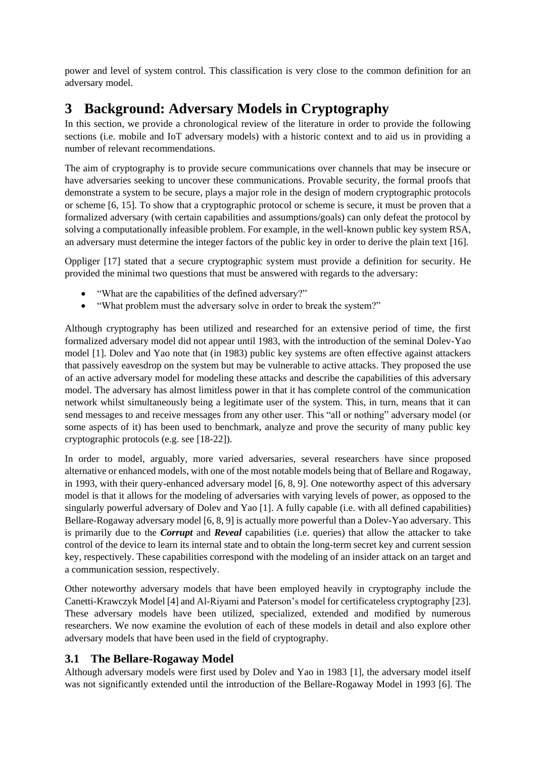power and level of system control. This classification is very close to the common definition for an adversary model.

## **3 Background: Adversary Models in Cryptography**

In this section, we provide a chronological review of the literature in order to provide the following sections (i.e. mobile and IoT adversary models) with a historic context and to aid us in providing a number of relevant recommendations.

The aim of cryptography is to provide secure communications over channels that may be insecure or have adversaries seeking to uncover these communications. Provable security, the formal proofs that demonstrate a system to be secure, plays a major role in the design of modern cryptographic protocols or scheme [6, 15]. To show that a cryptographic protocol or scheme is secure, it must be proven that a formalized adversary (with certain capabilities and assumptions/goals) can only defeat the protocol by solving a computationally infeasible problem. For example, in the well-known public key system RSA, an adversary must determine the integer factors of the public key in order to derive the plain text [16].

Oppliger [17] stated that a secure cryptographic system must provide a definition for security. He provided the minimal two questions that must be answered with regards to the adversary:

- "What are the capabilities of the defined adversary?"
- "What problem must the adversary solve in order to break the system?"

Although cryptography has been utilized and researched for an extensive period of time, the first formalized adversary model did not appear until 1983, with the introduction of the seminal Dolev-Yao model [1]. Dolev and Yao note that (in 1983) public key systems are often effective against attackers that passively eavesdrop on the system but may be vulnerable to active attacks. They proposed the use of an active adversary model for modeling these attacks and describe the capabilities of this adversary model. The adversary has almost limitless power in that it has complete control of the communication network whilst simultaneously being a legitimate user of the system. This, in turn, means that it can send messages to and receive messages from any other user. This "all or nothing" adversary model (or some aspects of it) has been used to benchmark, analyze and prove the security of many public key cryptographic protocols (e.g. see [18-22]).

In order to model, arguably, more varied adversaries, several researchers have since proposed alternative or enhanced models, with one of the most notable models being that of Bellare and Rogaway, in 1993, with their query-enhanced adversary model [6, 8, 9]. One noteworthy aspect of this adversary model is that it allows for the modeling of adversaries with varying levels of power, as opposed to the singularly powerful adversary of Dolev and Yao [1]. A fully capable (i.e. with all defined capabilities) Bellare-Rogaway adversary model [6, 8, 9] is actually more powerful than a Dolev-Yao adversary. This is primarily due to the *Corrupt* and *Reveal* capabilities (i.e. queries) that allow the attacker to take control of the device to learn its internal state and to obtain the long-term secret key and current session key, respectively. These capabilities correspond with the modeling of an insider attack on an target and a communication session, respectively.

Other noteworthy adversary models that have been employed heavily in cryptography include the Canetti-Krawczyk Model [4] and Al-Riyami and Paterson's model for certificateless cryptography [23]. These adversary models have been utilized, specialized, extended and modified by numerous researchers. We now examine the evolution of each of these models in detail and also explore other adversary models that have been used in the field of cryptography.

### **3.1 The Bellare-Rogaway Model**

Although adversary models were first used by Dolev and Yao in 1983 [1], the adversary model itself was not significantly extended until the introduction of the Bellare-Rogaway Model in 1993 [6]. The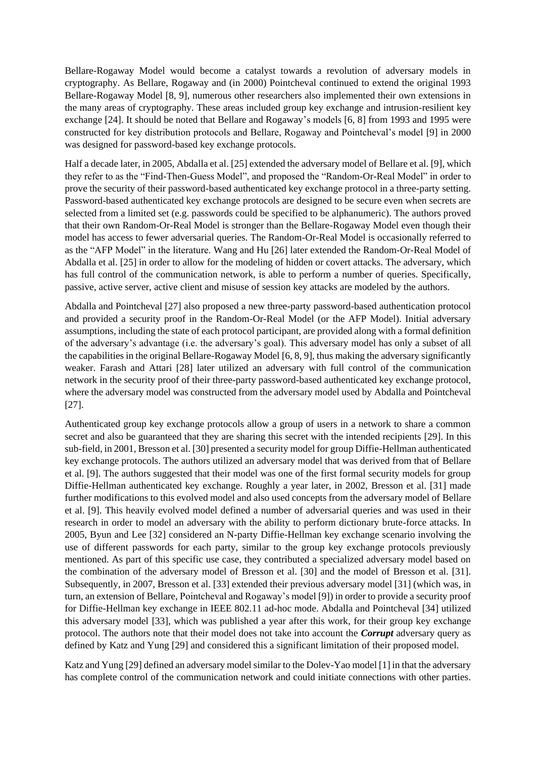Bellare-Rogaway Model would become a catalyst towards a revolution of adversary models in cryptography. As Bellare, Rogaway and (in 2000) Pointcheval continued to extend the original 1993 Bellare-Rogaway Model [8, 9], numerous other researchers also implemented their own extensions in the many areas of cryptography. These areas included group key exchange and intrusion-resilient key exchange [24]. It should be noted that Bellare and Rogaway's models [6, 8] from 1993 and 1995 were constructed for key distribution protocols and Bellare, Rogaway and Pointcheval's model [9] in 2000 was designed for password-based key exchange protocols.

Half a decade later, in 2005, Abdalla et al. [25] extended the adversary model of Bellare et al. [9], which they refer to as the "Find-Then-Guess Model", and proposed the "Random-Or-Real Model" in order to prove the security of their password-based authenticated key exchange protocol in a three-party setting. Password-based authenticated key exchange protocols are designed to be secure even when secrets are selected from a limited set (e.g. passwords could be specified to be alphanumeric). The authors proved that their own Random-Or-Real Model is stronger than the Bellare-Rogaway Model even though their model has access to fewer adversarial queries. The Random-Or-Real Model is occasionally referred to as the "AFP Model" in the literature. Wang and Hu [26] later extended the Random-Or-Real Model of Abdalla et al. [25] in order to allow for the modeling of hidden or covert attacks. The adversary, which has full control of the communication network, is able to perform a number of queries. Specifically, passive, active server, active client and misuse of session key attacks are modeled by the authors.

Abdalla and Pointcheval [27] also proposed a new three-party password-based authentication protocol and provided a security proof in the Random-Or-Real Model (or the AFP Model). Initial adversary assumptions, including the state of each protocol participant, are provided along with a formal definition of the adversary's advantage (i.e. the adversary's goal). This adversary model has only a subset of all the capabilities in the original Bellare-Rogaway Model [6, 8, 9], thus making the adversary significantly weaker. Farash and Attari [28] later utilized an adversary with full control of the communication network in the security proof of their three-party password-based authenticated key exchange protocol, where the adversary model was constructed from the adversary model used by Abdalla and Pointcheval [27].

Authenticated group key exchange protocols allow a group of users in a network to share a common secret and also be guaranteed that they are sharing this secret with the intended recipients [29]. In this sub-field, in 2001, Bresson et al. [30] presented a security model for group Diffie-Hellman authenticated key exchange protocols. The authors utilized an adversary model that was derived from that of Bellare et al. [9]. The authors suggested that their model was one of the first formal security models for group Diffie-Hellman authenticated key exchange. Roughly a year later, in 2002, Bresson et al. [31] made further modifications to this evolved model and also used concepts from the adversary model of Bellare et al. [9]. This heavily evolved model defined a number of adversarial queries and was used in their research in order to model an adversary with the ability to perform dictionary brute-force attacks. In 2005, Byun and Lee [32] considered an N-party Diffie-Hellman key exchange scenario involving the use of different passwords for each party, similar to the group key exchange protocols previously mentioned. As part of this specific use case, they contributed a specialized adversary model based on the combination of the adversary model of Bresson et al. [30] and the model of Bresson et al. [31]. Subsequently, in 2007, Bresson et al. [33] extended their previous adversary model [31] (which was, in turn, an extension of Bellare, Pointcheval and Rogaway's model [9]) in order to provide a security proof for Diffie-Hellman key exchange in IEEE 802.11 ad-hoc mode. Abdalla and Pointcheval [34] utilized this adversary model [33], which was published a year after this work, for their group key exchange protocol. The authors note that their model does not take into account the *Corrupt* adversary query as defined by Katz and Yung [29] and considered this a significant limitation of their proposed model.

Katz and Yung [29] defined an adversary model similar to the Dolev-Yao model [1] in that the adversary has complete control of the communication network and could initiate connections with other parties.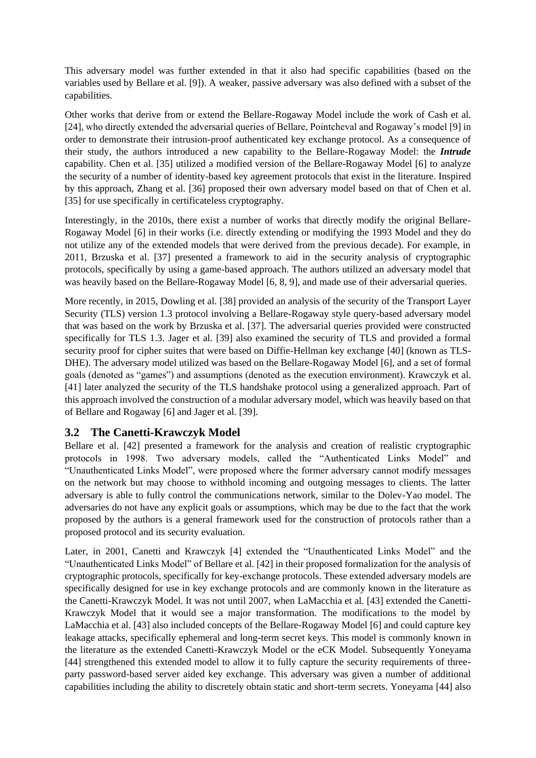This adversary model was further extended in that it also had specific capabilities (based on the variables used by Bellare et al. [9]). A weaker, passive adversary was also defined with a subset of the capabilities.

Other works that derive from or extend the Bellare-Rogaway Model include the work of Cash et al. [24], who directly extended the adversarial queries of Bellare, Pointcheval and Rogaway's model [9] in order to demonstrate their intrusion-proof authenticated key exchange protocol. As a consequence of their study, the authors introduced a new capability to the Bellare-Rogaway Model: the *Intrude* capability. Chen et al. [35] utilized a modified version of the Bellare-Rogaway Model [6] to analyze the security of a number of identity-based key agreement protocols that exist in the literature. Inspired by this approach, Zhang et al. [36] proposed their own adversary model based on that of Chen et al. [35] for use specifically in certificateless cryptography.

Interestingly, in the 2010s, there exist a number of works that directly modify the original Bellare-Rogaway Model [6] in their works (i.e. directly extending or modifying the 1993 Model and they do not utilize any of the extended models that were derived from the previous decade). For example, in 2011, Brzuska et al. [37] presented a framework to aid in the security analysis of cryptographic protocols, specifically by using a game-based approach. The authors utilized an adversary model that was heavily based on the Bellare-Rogaway Model [6, 8, 9], and made use of their adversarial queries.

More recently, in 2015, Dowling et al. [38] provided an analysis of the security of the Transport Layer Security (TLS) version 1.3 protocol involving a Bellare-Rogaway style query-based adversary model that was based on the work by Brzuska et al. [37]. The adversarial queries provided were constructed specifically for TLS 1.3. Jager et al. [39] also examined the security of TLS and provided a formal security proof for cipher suites that were based on Diffie-Hellman key exchange [40] (known as TLS-DHE). The adversary model utilized was based on the Bellare-Rogaway Model [6], and a set of formal goals (denoted as "games") and assumptions (denoted as the execution environment). Krawczyk et al. [41] later analyzed the security of the TLS handshake protocol using a generalized approach. Part of this approach involved the construction of a modular adversary model, which was heavily based on that of Bellare and Rogaway [6] and Jager et al. [39].

### **3.2 The Canetti-Krawczyk Model**

Bellare et al. [42] presented a framework for the analysis and creation of realistic cryptographic protocols in 1998. Two adversary models, called the "Authenticated Links Model" and "Unauthenticated Links Model", were proposed where the former adversary cannot modify messages on the network but may choose to withhold incoming and outgoing messages to clients. The latter adversary is able to fully control the communications network, similar to the Dolev-Yao model. The adversaries do not have any explicit goals or assumptions, which may be due to the fact that the work proposed by the authors is a general framework used for the construction of protocols rather than a proposed protocol and its security evaluation.

Later, in 2001, Canetti and Krawczyk [4] extended the "Unauthenticated Links Model" and the "Unauthenticated Links Model" of Bellare et al. [42] in their proposed formalization for the analysis of cryptographic protocols, specifically for key-exchange protocols. These extended adversary models are specifically designed for use in key exchange protocols and are commonly known in the literature as the Canetti-Krawczyk Model. It was not until 2007, when LaMacchia et al. [43] extended the Canetti-Krawczyk Model that it would see a major transformation. The modifications to the model by LaMacchia et al. [43] also included concepts of the Bellare-Rogaway Model [6] and could capture key leakage attacks, specifically ephemeral and long-term secret keys. This model is commonly known in the literature as the extended Canetti-Krawczyk Model or the eCK Model. Subsequently Yoneyama [44] strengthened this extended model to allow it to fully capture the security requirements of threeparty password-based server aided key exchange. This adversary was given a number of additional capabilities including the ability to discretely obtain static and short-term secrets. Yoneyama [44] also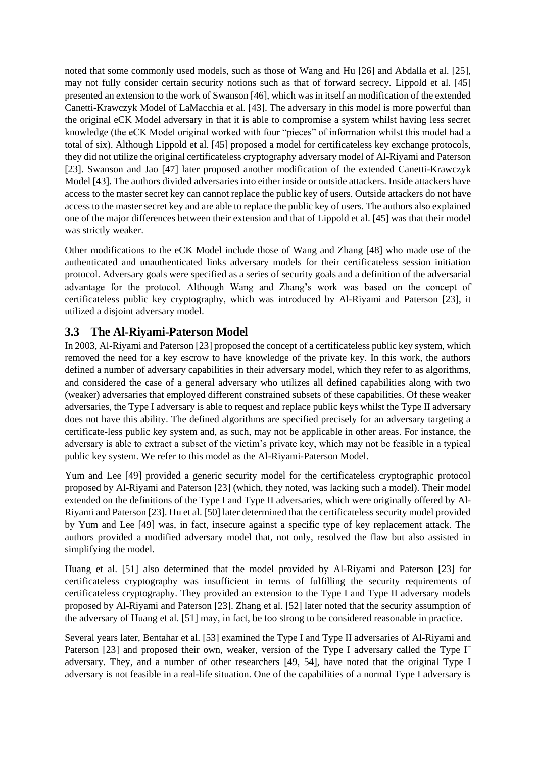noted that some commonly used models, such as those of Wang and Hu [26] and Abdalla et al. [25], may not fully consider certain security notions such as that of forward secrecy. Lippold et al. [45] presented an extension to the work of Swanson [46], which was in itself an modification of the extended Canetti-Krawczyk Model of LaMacchia et al. [43]. The adversary in this model is more powerful than the original eCK Model adversary in that it is able to compromise a system whilst having less secret knowledge (the eCK Model original worked with four "pieces" of information whilst this model had a total of six). Although Lippold et al. [45] proposed a model for certificateless key exchange protocols, they did not utilize the original certificateless cryptography adversary model of Al-Riyami and Paterson [23]. Swanson and Jao [47] later proposed another modification of the extended Canetti-Krawczyk Model [43]. The authors divided adversaries into either inside or outside attackers. Inside attackers have access to the master secret key can cannot replace the public key of users. Outside attackers do not have access to the master secret key and are able to replace the public key of users. The authors also explained one of the major differences between their extension and that of Lippold et al. [45] was that their model was strictly weaker.

Other modifications to the eCK Model include those of Wang and Zhang [48] who made use of the authenticated and unauthenticated links adversary models for their certificateless session initiation protocol. Adversary goals were specified as a series of security goals and a definition of the adversarial advantage for the protocol. Although Wang and Zhang's work was based on the concept of certificateless public key cryptography, which was introduced by Al-Riyami and Paterson [23], it utilized a disjoint adversary model.

#### **3.3 The Al-Riyami-Paterson Model**

In 2003, Al-Riyami and Paterson [23] proposed the concept of a certificateless public key system, which removed the need for a key escrow to have knowledge of the private key. In this work, the authors defined a number of adversary capabilities in their adversary model, which they refer to as algorithms, and considered the case of a general adversary who utilizes all defined capabilities along with two (weaker) adversaries that employed different constrained subsets of these capabilities. Of these weaker adversaries, the Type I adversary is able to request and replace public keys whilst the Type II adversary does not have this ability. The defined algorithms are specified precisely for an adversary targeting a certificate-less public key system and, as such, may not be applicable in other areas. For instance, the adversary is able to extract a subset of the victim's private key, which may not be feasible in a typical public key system. We refer to this model as the Al-Riyami-Paterson Model.

Yum and Lee [49] provided a generic security model for the certificateless cryptographic protocol proposed by Al-Riyami and Paterson [23] (which, they noted, was lacking such a model). Their model extended on the definitions of the Type I and Type II adversaries, which were originally offered by Al-Riyami and Paterson [23]. Hu et al. [50] later determined that the certificateless security model provided by Yum and Lee [49] was, in fact, insecure against a specific type of key replacement attack. The authors provided a modified adversary model that, not only, resolved the flaw but also assisted in simplifying the model.

Huang et al. [51] also determined that the model provided by Al-Riyami and Paterson [23] for certificateless cryptography was insufficient in terms of fulfilling the security requirements of certificateless cryptography. They provided an extension to the Type I and Type II adversary models proposed by Al-Riyami and Paterson [23]. Zhang et al. [52] later noted that the security assumption of the adversary of Huang et al. [51] may, in fact, be too strong to be considered reasonable in practice.

Several years later, Bentahar et al. [53] examined the Type I and Type II adversaries of Al-Riyami and Paterson [23] and proposed their own, weaker, version of the Type I adversary called the Type I<sup>−</sup> adversary. They, and a number of other researchers [49, 54], have noted that the original Type I adversary is not feasible in a real-life situation. One of the capabilities of a normal Type I adversary is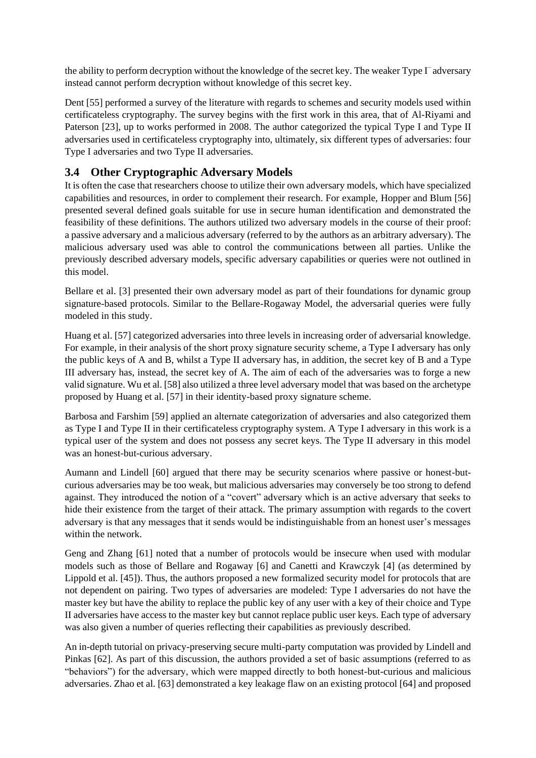the ability to perform decryption without the knowledge of the secret key. The weaker Type I<sup>−</sup> adversary instead cannot perform decryption without knowledge of this secret key.

Dent [55] performed a survey of the literature with regards to schemes and security models used within certificateless cryptography. The survey begins with the first work in this area, that of Al-Riyami and Paterson [23], up to works performed in 2008. The author categorized the typical Type I and Type II adversaries used in certificateless cryptography into, ultimately, six different types of adversaries: four Type I adversaries and two Type II adversaries.

## **3.4 Other Cryptographic Adversary Models**

It is often the case that researchers choose to utilize their own adversary models, which have specialized capabilities and resources, in order to complement their research. For example, Hopper and Blum [56] presented several defined goals suitable for use in secure human identification and demonstrated the feasibility of these definitions. The authors utilized two adversary models in the course of their proof: a passive adversary and a malicious adversary (referred to by the authors as an arbitrary adversary). The malicious adversary used was able to control the communications between all parties. Unlike the previously described adversary models, specific adversary capabilities or queries were not outlined in this model.

Bellare et al. [3] presented their own adversary model as part of their foundations for dynamic group signature-based protocols. Similar to the Bellare-Rogaway Model, the adversarial queries were fully modeled in this study.

Huang et al. [57] categorized adversaries into three levels in increasing order of adversarial knowledge. For example, in their analysis of the short proxy signature security scheme, a Type I adversary has only the public keys of A and B, whilst a Type II adversary has, in addition, the secret key of B and a Type III adversary has, instead, the secret key of A. The aim of each of the adversaries was to forge a new valid signature. Wu et al. [58] also utilized a three level adversary model that was based on the archetype proposed by Huang et al. [57] in their identity-based proxy signature scheme.

Barbosa and Farshim [59] applied an alternate categorization of adversaries and also categorized them as Type I and Type II in their certificateless cryptography system. A Type I adversary in this work is a typical user of the system and does not possess any secret keys. The Type II adversary in this model was an honest-but-curious adversary.

Aumann and Lindell [60] argued that there may be security scenarios where passive or honest-butcurious adversaries may be too weak, but malicious adversaries may conversely be too strong to defend against. They introduced the notion of a "covert" adversary which is an active adversary that seeks to hide their existence from the target of their attack. The primary assumption with regards to the covert adversary is that any messages that it sends would be indistinguishable from an honest user's messages within the network.

Geng and Zhang [61] noted that a number of protocols would be insecure when used with modular models such as those of Bellare and Rogaway [6] and Canetti and Krawczyk [4] (as determined by Lippold et al. [45]). Thus, the authors proposed a new formalized security model for protocols that are not dependent on pairing. Two types of adversaries are modeled: Type I adversaries do not have the master key but have the ability to replace the public key of any user with a key of their choice and Type II adversaries have access to the master key but cannot replace public user keys. Each type of adversary was also given a number of queries reflecting their capabilities as previously described.

An in-depth tutorial on privacy-preserving secure multi-party computation was provided by Lindell and Pinkas [62]. As part of this discussion, the authors provided a set of basic assumptions (referred to as "behaviors") for the adversary, which were mapped directly to both honest-but-curious and malicious adversaries. Zhao et al. [63] demonstrated a key leakage flaw on an existing protocol [64] and proposed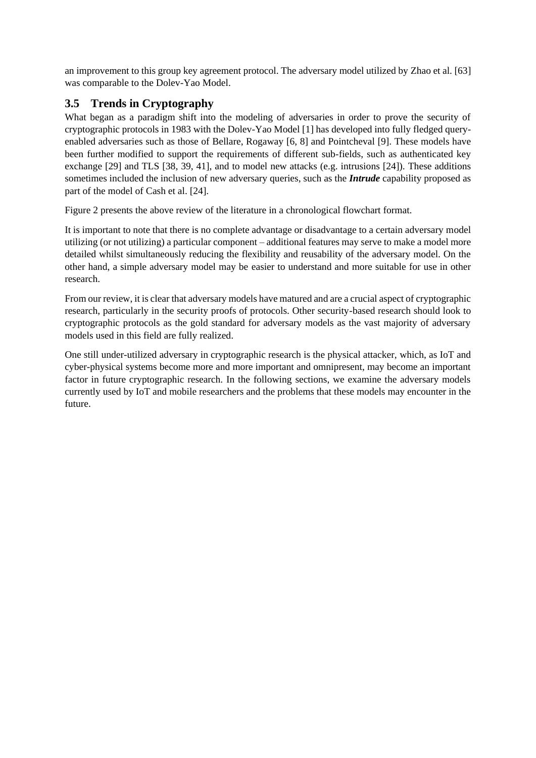an improvement to this group key agreement protocol. The adversary model utilized by Zhao et al. [63] was comparable to the Dolev-Yao Model.

### **3.5 Trends in Cryptography**

What began as a paradigm shift into the modeling of adversaries in order to prove the security of cryptographic protocols in 1983 with the Dolev-Yao Model [1] has developed into fully fledged queryenabled adversaries such as those of Bellare, Rogaway [6, 8] and Pointcheval [9]. These models have been further modified to support the requirements of different sub-fields, such as authenticated key exchange [29] and TLS [38, 39, 41], and to model new attacks (e.g. intrusions [24]). These additions sometimes included the inclusion of new adversary queries, such as the *Intrude* capability proposed as part of the model of Cash et al. [24].

Figure 2 presents the above review of the literature in a chronological flowchart format.

It is important to note that there is no complete advantage or disadvantage to a certain adversary model utilizing (or not utilizing) a particular component – additional features may serve to make a model more detailed whilst simultaneously reducing the flexibility and reusability of the adversary model. On the other hand, a simple adversary model may be easier to understand and more suitable for use in other research.

From our review, it is clear that adversary models have matured and are a crucial aspect of cryptographic research, particularly in the security proofs of protocols. Other security-based research should look to cryptographic protocols as the gold standard for adversary models as the vast majority of adversary models used in this field are fully realized.

One still under-utilized adversary in cryptographic research is the physical attacker, which, as IoT and cyber-physical systems become more and more important and omnipresent, may become an important factor in future cryptographic research. In the following sections, we examine the adversary models currently used by IoT and mobile researchers and the problems that these models may encounter in the future.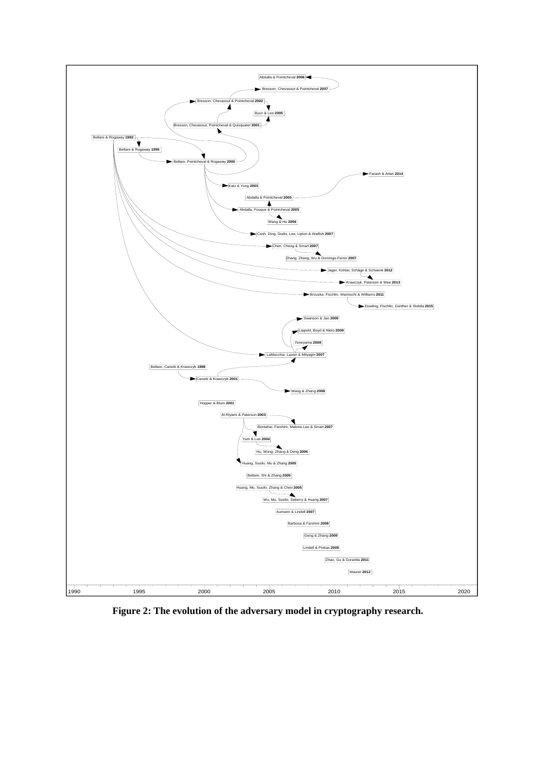

**Figure 2: The evolution of the adversary model in cryptography research.**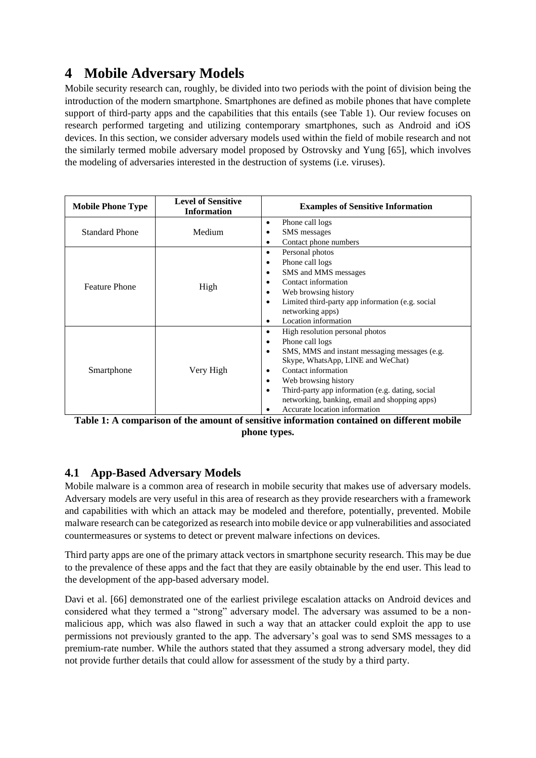## **4 Mobile Adversary Models**

Mobile security research can, roughly, be divided into two periods with the point of division being the introduction of the modern smartphone. Smartphones are defined as mobile phones that have complete support of third-party apps and the capabilities that this entails (see Table 1). Our review focuses on research performed targeting and utilizing contemporary smartphones, such as Android and iOS devices. In this section, we consider adversary models used within the field of mobile research and not the similarly termed mobile adversary model proposed by Ostrovsky and Yung [65], which involves the modeling of adversaries interested in the destruction of systems (i.e. viruses).

| <b>Mobile Phone Type</b>                                                                                                                                                                                                             | <b>Level of Sensitive</b><br><b>Information</b> | <b>Examples of Sensitive Information</b>                                                                                                                                                                        |  |
|--------------------------------------------------------------------------------------------------------------------------------------------------------------------------------------------------------------------------------------|-------------------------------------------------|-----------------------------------------------------------------------------------------------------------------------------------------------------------------------------------------------------------------|--|
| <b>Standard Phone</b>                                                                                                                                                                                                                | Medium                                          | Phone call logs<br>٠                                                                                                                                                                                            |  |
|                                                                                                                                                                                                                                      |                                                 | SMS messages<br>Contact phone numbers<br>٠                                                                                                                                                                      |  |
| <b>Feature Phone</b>                                                                                                                                                                                                                 | High                                            | Personal photos<br>٠<br>Phone call logs<br>٠<br>SMS and MMS messages<br>٠<br>Contact information<br>٠<br>Web browsing history<br>٠<br>Limited third-party app information (e.g. social<br>٠<br>networking apps) |  |
| Location information<br>٠<br>High resolution personal photos<br>٠<br>Phone call logs<br>٠<br>$\bullet$<br>Skype, WhatsApp, LINE and WeChat)<br>Smartphone<br>Very High<br>Contact information<br>٠<br>Web browsing history<br>٠<br>٠ |                                                 | SMS, MMS and instant messaging messages (e.g.<br>Third-party app information (e.g. dating, social<br>networking, banking, email and shopping apps)<br>Accurate location information                             |  |

**Table 1: A comparison of the amount of sensitive information contained on different mobile phone types.**

## **4.1 App-Based Adversary Models**

Mobile malware is a common area of research in mobile security that makes use of adversary models. Adversary models are very useful in this area of research as they provide researchers with a framework and capabilities with which an attack may be modeled and therefore, potentially, prevented. Mobile malware research can be categorized as research into mobile device or app vulnerabilities and associated countermeasures or systems to detect or prevent malware infections on devices.

Third party apps are one of the primary attack vectors in smartphone security research. This may be due to the prevalence of these apps and the fact that they are easily obtainable by the end user. This lead to the development of the app-based adversary model.

Davi et al. [66] demonstrated one of the earliest privilege escalation attacks on Android devices and considered what they termed a "strong" adversary model. The adversary was assumed to be a nonmalicious app, which was also flawed in such a way that an attacker could exploit the app to use permissions not previously granted to the app. The adversary's goal was to send SMS messages to a premium-rate number. While the authors stated that they assumed a strong adversary model, they did not provide further details that could allow for assessment of the study by a third party.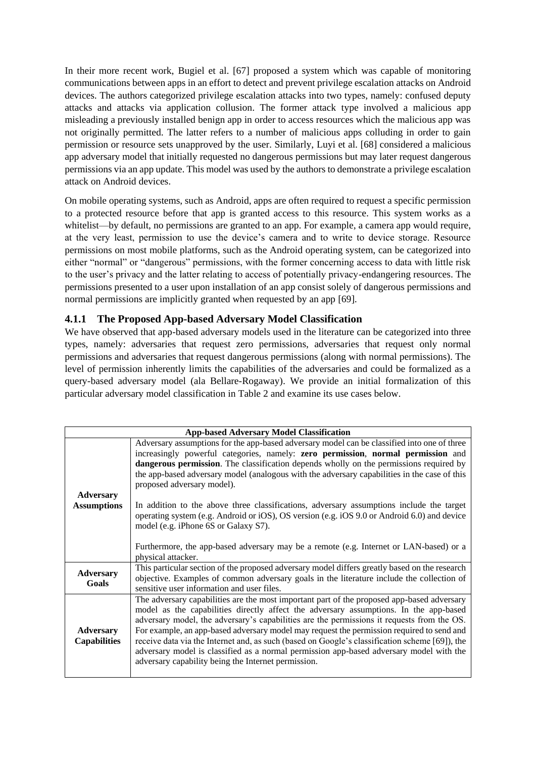In their more recent work, Bugiel et al. [67] proposed a system which was capable of monitoring communications between apps in an effort to detect and prevent privilege escalation attacks on Android devices. The authors categorized privilege escalation attacks into two types, namely: confused deputy attacks and attacks via application collusion. The former attack type involved a malicious app misleading a previously installed benign app in order to access resources which the malicious app was not originally permitted. The latter refers to a number of malicious apps colluding in order to gain permission or resource sets unapproved by the user. Similarly, Luyi et al. [68] considered a malicious app adversary model that initially requested no dangerous permissions but may later request dangerous permissions via an app update. This model was used by the authors to demonstrate a privilege escalation attack on Android devices.

On mobile operating systems, such as Android, apps are often required to request a specific permission to a protected resource before that app is granted access to this resource. This system works as a whitelist—by default, no permissions are granted to an app. For example, a camera app would require, at the very least, permission to use the device's camera and to write to device storage. Resource permissions on most mobile platforms, such as the Android operating system, can be categorized into either "normal" or "dangerous" permissions, with the former concerning access to data with little risk to the user's privacy and the latter relating to access of potentially privacy-endangering resources. The permissions presented to a user upon installation of an app consist solely of dangerous permissions and normal permissions are implicitly granted when requested by an app [69].

#### **4.1.1 The Proposed App-based Adversary Model Classification**

We have observed that app-based adversary models used in the literature can be categorized into three types, namely: adversaries that request zero permissions, adversaries that request only normal permissions and adversaries that request dangerous permissions (along with normal permissions). The level of permission inherently limits the capabilities of the adversaries and could be formalized as a query-based adversary model (ala Bellare-Rogaway). We provide an initial formalization of this particular adversary model classification in Table 2 and examine its use cases below.

| <b>App-based Adversary Model Classification</b> |                                                                                                |  |  |
|-------------------------------------------------|------------------------------------------------------------------------------------------------|--|--|
|                                                 | Adversary assumptions for the app-based adversary model can be classified into one of three    |  |  |
|                                                 | increasingly powerful categories, namely: zero permission, normal permission and               |  |  |
|                                                 | dangerous permission. The classification depends wholly on the permissions required by         |  |  |
|                                                 | the app-based adversary model (analogous with the adversary capabilities in the case of this   |  |  |
|                                                 | proposed adversary model).                                                                     |  |  |
| <b>Adversary</b>                                |                                                                                                |  |  |
| <b>Assumptions</b>                              | In addition to the above three classifications, adversary assumptions include the target       |  |  |
|                                                 | operating system (e.g. Android or iOS), OS version (e.g. iOS 9.0 or Android 6.0) and device    |  |  |
|                                                 | model (e.g. iPhone 6S or Galaxy S7).                                                           |  |  |
|                                                 |                                                                                                |  |  |
|                                                 | Furthermore, the app-based adversary may be a remote (e.g. Internet or LAN-based) or a         |  |  |
|                                                 | physical attacker.                                                                             |  |  |
| <b>Adversary</b>                                | This particular section of the proposed adversary model differs greatly based on the research  |  |  |
| Goals                                           | objective. Examples of common adversary goals in the literature include the collection of      |  |  |
|                                                 | sensitive user information and user files.                                                     |  |  |
|                                                 | The adversary capabilities are the most important part of the proposed app-based adversary     |  |  |
|                                                 | model as the capabilities directly affect the adversary assumptions. In the app-based          |  |  |
|                                                 | adversary model, the adversary's capabilities are the permissions it requests from the OS.     |  |  |
| <b>Adversary</b>                                | For example, an app-based adversary model may request the permission required to send and      |  |  |
| <b>Capabilities</b>                             | receive data via the Internet and, as such (based on Google's classification scheme [69]), the |  |  |
|                                                 | adversary model is classified as a normal permission app-based adversary model with the        |  |  |
|                                                 | adversary capability being the Internet permission.                                            |  |  |
|                                                 |                                                                                                |  |  |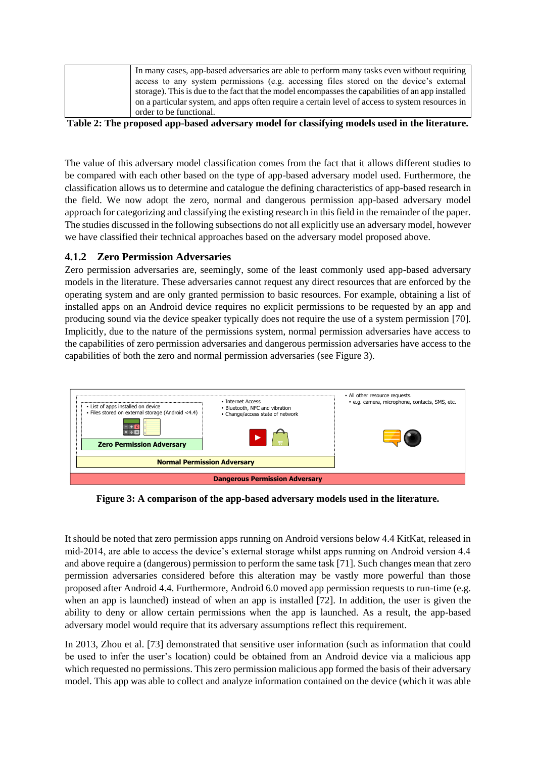| In many cases, app-based adversaries are able to perform many tasks even without requiring        |
|---------------------------------------------------------------------------------------------------|
| access to any system permissions (e.g. accessing files stored on the device's external            |
| storage). This is due to the fact that the model encompasses the capabilities of an app installed |
| on a particular system, and apps often require a certain level of access to system resources in   |
| order to be functional.                                                                           |

**Table 2: The proposed app-based adversary model for classifying models used in the literature.**

The value of this adversary model classification comes from the fact that it allows different studies to be compared with each other based on the type of app-based adversary model used. Furthermore, the classification allows us to determine and catalogue the defining characteristics of app-based research in the field. We now adopt the zero, normal and dangerous permission app-based adversary model approach for categorizing and classifying the existing research in this field in the remainder of the paper. The studies discussed in the following subsections do not all explicitly use an adversary model, however we have classified their technical approaches based on the adversary model proposed above.

#### **4.1.2 Zero Permission Adversaries**

Zero permission adversaries are, seemingly, some of the least commonly used app-based adversary models in the literature. These adversaries cannot request any direct resources that are enforced by the operating system and are only granted permission to basic resources. For example, obtaining a list of installed apps on an Android device requires no explicit permissions to be requested by an app and producing sound via the device speaker typically does not require the use of a system permission [70]. Implicitly, due to the nature of the permissions system, normal permission adversaries have access to the capabilities of zero permission adversaries and dangerous permission adversaries have access to the capabilities of both the zero and normal permission adversaries (see Figure 3).



**Figure 3: A comparison of the app-based adversary models used in the literature.**

It should be noted that zero permission apps running on Android versions below 4.4 KitKat, released in mid-2014, are able to access the device's external storage whilst apps running on Android version 4.4 and above require a (dangerous) permission to perform the same task [71]. Such changes mean that zero permission adversaries considered before this alteration may be vastly more powerful than those proposed after Android 4.4. Furthermore, Android 6.0 moved app permission requests to run-time (e.g. when an app is launched) instead of when an app is installed [72]. In addition, the user is given the ability to deny or allow certain permissions when the app is launched. As a result, the app-based adversary model would require that its adversary assumptions reflect this requirement.

In 2013, Zhou et al. [73] demonstrated that sensitive user information (such as information that could be used to infer the user's location) could be obtained from an Android device via a malicious app which requested no permissions. This zero permission malicious app formed the basis of their adversary model. This app was able to collect and analyze information contained on the device (which it was able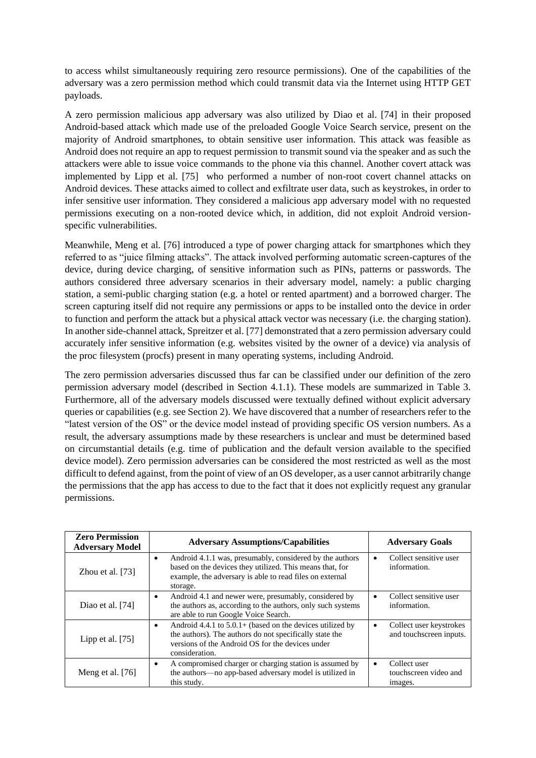to access whilst simultaneously requiring zero resource permissions). One of the capabilities of the adversary was a zero permission method which could transmit data via the Internet using HTTP GET payloads.

A zero permission malicious app adversary was also utilized by Diao et al. [74] in their proposed Android-based attack which made use of the preloaded Google Voice Search service, present on the majority of Android smartphones, to obtain sensitive user information. This attack was feasible as Android does not require an app to request permission to transmit sound via the speaker and as such the attackers were able to issue voice commands to the phone via this channel. Another covert attack was implemented by Lipp et al. [75] who performed a number of non-root covert channel attacks on Android devices. These attacks aimed to collect and exfiltrate user data, such as keystrokes, in order to infer sensitive user information. They considered a malicious app adversary model with no requested permissions executing on a non-rooted device which, in addition, did not exploit Android versionspecific vulnerabilities.

Meanwhile, Meng et al. [76] introduced a type of power charging attack for smartphones which they referred to as "juice filming attacks". The attack involved performing automatic screen-captures of the device, during device charging, of sensitive information such as PINs, patterns or passwords. The authors considered three adversary scenarios in their adversary model, namely: a public charging station, a semi-public charging station (e.g. a hotel or rented apartment) and a borrowed charger. The screen capturing itself did not require any permissions or apps to be installed onto the device in order to function and perform the attack but a physical attack vector was necessary (i.e. the charging station). In another side-channel attack, Spreitzer et al. [77] demonstrated that a zero permission adversary could accurately infer sensitive information (e.g. websites visited by the owner of a device) via analysis of the proc filesystem (procfs) present in many operating systems, including Android.

The zero permission adversaries discussed thus far can be classified under our definition of the zero permission adversary model (described in Section 4.1.1). These models are summarized in Table 3. Furthermore, all of the adversary models discussed were textually defined without explicit adversary queries or capabilities (e.g. see Section 2). We have discovered that a number of researchers refer to the "latest version of the OS" or the device model instead of providing specific OS version numbers. As a result, the adversary assumptions made by these researchers is unclear and must be determined based on circumstantial details (e.g. time of publication and the default version available to the specified device model). Zero permission adversaries can be considered the most restricted as well as the most difficult to defend against, from the point of view of an OS developer, as a user cannot arbitrarily change the permissions that the app has access to due to the fact that it does not explicitly request any granular permissions.

| <b>Zero Permission</b><br><b>Adversary Model</b> | <b>Adversary Assumptions/Capabilities</b>                                                                                                                                                                 | <b>Adversary Goals</b>                                        |  |
|--------------------------------------------------|-----------------------------------------------------------------------------------------------------------------------------------------------------------------------------------------------------------|---------------------------------------------------------------|--|
| Zhou et al. $[73]$                               | Android 4.1.1 was, presumably, considered by the authors<br>$\bullet$<br>based on the devices they utilized. This means that, for<br>example, the adversary is able to read files on external<br>storage. | Collect sensitive user<br>information.                        |  |
| Diao et al. $[74]$                               | Android 4.1 and newer were, presumably, considered by<br>$\bullet$<br>the authors as, according to the authors, only such systems<br>are able to run Google Voice Search.                                 | Collect sensitive user<br>٠<br>information.                   |  |
| Lipp et al. $[75]$                               | Android 4.4.1 to $5.0.1+$ (based on the devices utilized by<br>٠<br>the authors). The authors do not specifically state the<br>versions of the Android OS for the devices under<br>consideration.         | Collect user keystrokes<br>٠<br>and touchscreen inputs.       |  |
| Meng et al. [76]                                 | A compromised charger or charging station is assumed by<br>$\bullet$<br>the authors-no app-based adversary model is utilized in<br>this study.                                                            | Collect user<br>$\bullet$<br>touchscreen video and<br>images. |  |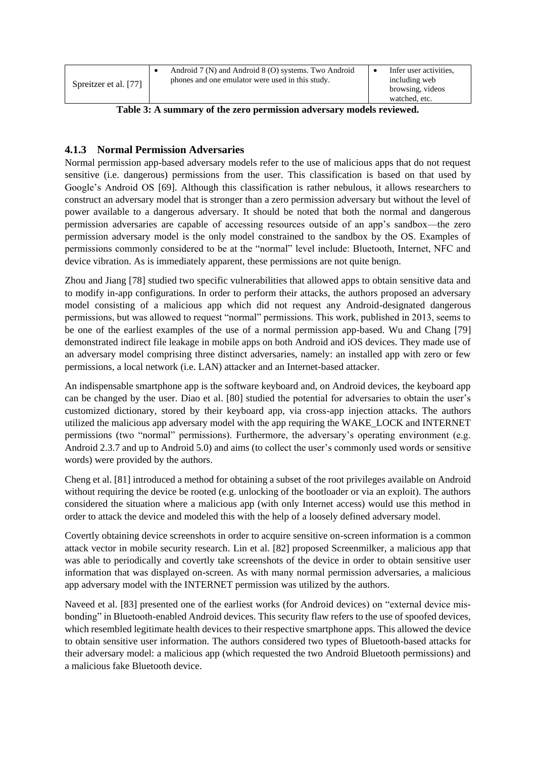| Spreitzer et al. [77] | Android 7 (N) and Android 8 (O) systems. Two Android<br>phones and one emulator were used in this study. | Infer user activities,<br>including web<br>browsing, videos<br>watched, etc. |
|-----------------------|----------------------------------------------------------------------------------------------------------|------------------------------------------------------------------------------|
|                       |                                                                                                          |                                                                              |

**Table 3: A summary of the zero permission adversary models reviewed.**

#### **4.1.3 Normal Permission Adversaries**

Normal permission app-based adversary models refer to the use of malicious apps that do not request sensitive (i.e. dangerous) permissions from the user. This classification is based on that used by Google's Android OS [69]. Although this classification is rather nebulous, it allows researchers to construct an adversary model that is stronger than a zero permission adversary but without the level of power available to a dangerous adversary. It should be noted that both the normal and dangerous permission adversaries are capable of accessing resources outside of an app's sandbox—the zero permission adversary model is the only model constrained to the sandbox by the OS. Examples of permissions commonly considered to be at the "normal" level include: Bluetooth, Internet, NFC and device vibration. As is immediately apparent, these permissions are not quite benign.

Zhou and Jiang [78] studied two specific vulnerabilities that allowed apps to obtain sensitive data and to modify in-app configurations. In order to perform their attacks, the authors proposed an adversary model consisting of a malicious app which did not request any Android-designated dangerous permissions, but was allowed to request "normal" permissions. This work, published in 2013, seems to be one of the earliest examples of the use of a normal permission app-based. Wu and Chang [79] demonstrated indirect file leakage in mobile apps on both Android and iOS devices. They made use of an adversary model comprising three distinct adversaries, namely: an installed app with zero or few permissions, a local network (i.e. LAN) attacker and an Internet-based attacker.

An indispensable smartphone app is the software keyboard and, on Android devices, the keyboard app can be changed by the user. Diao et al. [80] studied the potential for adversaries to obtain the user's customized dictionary, stored by their keyboard app, via cross-app injection attacks. The authors utilized the malicious app adversary model with the app requiring the WAKE\_LOCK and INTERNET permissions (two "normal" permissions). Furthermore, the adversary's operating environment (e.g. Android 2.3.7 and up to Android 5.0) and aims (to collect the user's commonly used words or sensitive words) were provided by the authors.

Cheng et al. [81] introduced a method for obtaining a subset of the root privileges available on Android without requiring the device be rooted (e.g. unlocking of the bootloader or via an exploit). The authors considered the situation where a malicious app (with only Internet access) would use this method in order to attack the device and modeled this with the help of a loosely defined adversary model.

Covertly obtaining device screenshots in order to acquire sensitive on-screen information is a common attack vector in mobile security research. Lin et al. [82] proposed Screenmilker, a malicious app that was able to periodically and covertly take screenshots of the device in order to obtain sensitive user information that was displayed on-screen. As with many normal permission adversaries, a malicious app adversary model with the INTERNET permission was utilized by the authors.

Naveed et al. [83] presented one of the earliest works (for Android devices) on "external device misbonding" in Bluetooth-enabled Android devices. This security flaw refers to the use of spoofed devices, which resembled legitimate health devices to their respective smartphone apps. This allowed the device to obtain sensitive user information. The authors considered two types of Bluetooth-based attacks for their adversary model: a malicious app (which requested the two Android Bluetooth permissions) and a malicious fake Bluetooth device.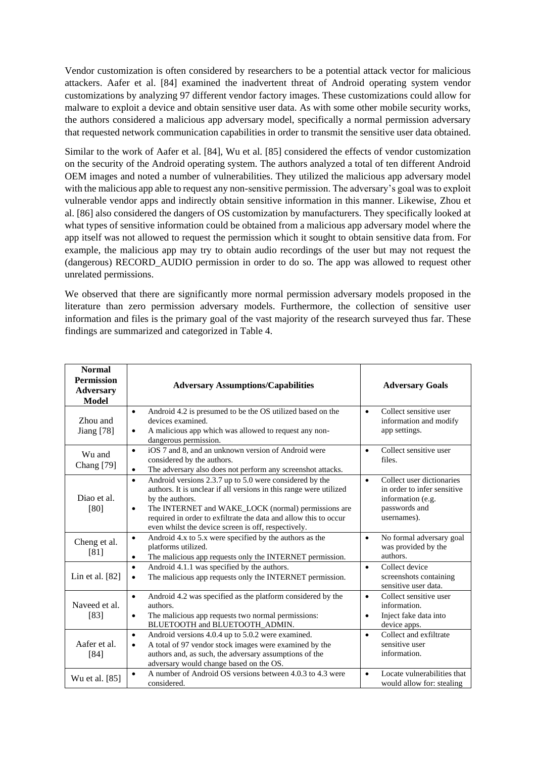Vendor customization is often considered by researchers to be a potential attack vector for malicious attackers. Aafer et al. [84] examined the inadvertent threat of Android operating system vendor customizations by analyzing 97 different vendor factory images. These customizations could allow for malware to exploit a device and obtain sensitive user data. As with some other mobile security works, the authors considered a malicious app adversary model, specifically a normal permission adversary that requested network communication capabilities in order to transmit the sensitive user data obtained.

Similar to the work of Aafer et al. [84], Wu et al. [85] considered the effects of vendor customization on the security of the Android operating system. The authors analyzed a total of ten different Android OEM images and noted a number of vulnerabilities. They utilized the malicious app adversary model with the malicious app able to request any non-sensitive permission. The adversary's goal was to exploit vulnerable vendor apps and indirectly obtain sensitive information in this manner. Likewise, Zhou et al. [86] also considered the dangers of OS customization by manufacturers. They specifically looked at what types of sensitive information could be obtained from a malicious app adversary model where the app itself was not allowed to request the permission which it sought to obtain sensitive data from. For example, the malicious app may try to obtain audio recordings of the user but may not request the (dangerous) RECORD\_AUDIO permission in order to do so. The app was allowed to request other unrelated permissions.

We observed that there are significantly more normal permission adversary models proposed in the literature than zero permission adversary models. Furthermore, the collection of sensitive user information and files is the primary goal of the vast majority of the research surveyed thus far. These findings are summarized and categorized in Table 4.

| <b>Normal</b><br><b>Permission</b><br><b>Adversary</b><br><b>Model</b> | <b>Adversary Assumptions/Capabilities</b>                                                                                                                                                                                                                                                                                                                    | <b>Adversary Goals</b>                                                                                                     |
|------------------------------------------------------------------------|--------------------------------------------------------------------------------------------------------------------------------------------------------------------------------------------------------------------------------------------------------------------------------------------------------------------------------------------------------------|----------------------------------------------------------------------------------------------------------------------------|
| Zhou and<br><b>Jiang</b> [78]                                          | Android 4.2 is presumed to be the OS utilized based on the<br>$\bullet$<br>devices examined.<br>A malicious app which was allowed to request any non-<br>$\bullet$<br>dangerous permission.                                                                                                                                                                  | Collect sensitive user<br>$\bullet$<br>information and modify<br>app settings.                                             |
| Wu and<br><b>Chang</b> [79]                                            | iOS 7 and 8, and an unknown version of Android were<br>$\bullet$<br>considered by the authors.<br>The adversary also does not perform any screenshot attacks.<br>$\bullet$                                                                                                                                                                                   | Collect sensitive user<br>$\bullet$<br>files.                                                                              |
| Diao et al.<br>[80]                                                    | Android versions 2.3.7 up to 5.0 were considered by the<br>$\bullet$<br>authors. It is unclear if all versions in this range were utilized<br>by the authors.<br>The INTERNET and WAKE_LOCK (normal) permissions are<br>$\bullet$<br>required in order to exfiltrate the data and allow this to occur<br>even whilst the device screen is off, respectively. | Collect user dictionaries<br>$\bullet$<br>in order to infer sensitive<br>information (e.g.<br>passwords and<br>usernames). |
| Cheng et al.<br>[81]                                                   | Android 4.x to 5.x were specified by the authors as the<br>$\bullet$<br>platforms utilized.<br>The malicious app requests only the INTERNET permission.<br>$\bullet$                                                                                                                                                                                         | No formal adversary goal<br>$\bullet$<br>was provided by the<br>authors.                                                   |
| Lin et al. $[82]$                                                      | Android 4.1.1 was specified by the authors.<br>$\bullet$<br>The malicious app requests only the INTERNET permission.<br>$\bullet$                                                                                                                                                                                                                            | Collect device<br>$\bullet$<br>screenshots containing<br>sensitive user data.                                              |
| Naveed et al.<br>[83]                                                  | Android 4.2 was specified as the platform considered by the<br>$\bullet$<br>authors.<br>The malicious app requests two normal permissions:<br>$\bullet$<br>BLUETOOTH and BLUETOOTH_ADMIN.                                                                                                                                                                    | Collect sensitive user<br>$\bullet$<br>information.<br>Inject fake data into<br>$\bullet$<br>device apps.                  |
| Aafer et al.<br>$[84]$                                                 | Android versions 4.0.4 up to 5.0.2 were examined.<br>$\bullet$<br>A total of 97 vendor stock images were examined by the<br>$\bullet$<br>authors and, as such, the adversary assumptions of the<br>adversary would change based on the OS.                                                                                                                   | Collect and exfiltrate<br>$\bullet$<br>sensitive user<br>information.                                                      |
| Wu et al. [85]                                                         | A number of Android OS versions between 4.0.3 to 4.3 were<br>$\bullet$<br>considered.                                                                                                                                                                                                                                                                        | Locate vulnerabilities that<br>$\bullet$<br>would allow for: stealing                                                      |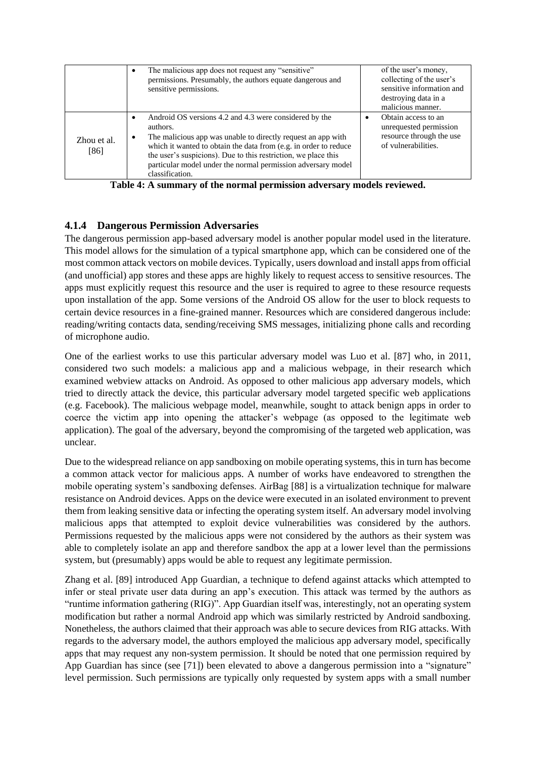|                     | The malicious app does not request any "sensitive"<br>$\bullet$<br>permissions. Presumably, the authors equate dangerous and<br>sensitive permissions.                                                                                                                                                                                                                        | of the user's money,<br>collecting of the user's<br>sensitive information and<br>destroying data in a<br>malicious manner. |
|---------------------|-------------------------------------------------------------------------------------------------------------------------------------------------------------------------------------------------------------------------------------------------------------------------------------------------------------------------------------------------------------------------------|----------------------------------------------------------------------------------------------------------------------------|
| Zhou et al.<br>[86] | Android OS versions 4.2 and 4.3 were considered by the<br>$\bullet$<br>authors.<br>The malicious app was unable to directly request an app with<br>٠<br>which it wanted to obtain the data from (e.g. in order to reduce<br>the user's suspicions). Due to this restriction, we place this<br>particular model under the normal permission adversary model<br>classification. | Obtain access to an<br>unrequested permission<br>resource through the use<br>of vulnerabilities.                           |

**Table 4: A summary of the normal permission adversary models reviewed.**

#### **4.1.4 Dangerous Permission Adversaries**

The dangerous permission app-based adversary model is another popular model used in the literature. This model allows for the simulation of a typical smartphone app, which can be considered one of the most common attack vectors on mobile devices. Typically, users download and install apps from official (and unofficial) app stores and these apps are highly likely to request access to sensitive resources. The apps must explicitly request this resource and the user is required to agree to these resource requests upon installation of the app. Some versions of the Android OS allow for the user to block requests to certain device resources in a fine-grained manner. Resources which are considered dangerous include: reading/writing contacts data, sending/receiving SMS messages, initializing phone calls and recording of microphone audio.

One of the earliest works to use this particular adversary model was Luo et al. [87] who, in 2011, considered two such models: a malicious app and a malicious webpage, in their research which examined webview attacks on Android. As opposed to other malicious app adversary models, which tried to directly attack the device, this particular adversary model targeted specific web applications (e.g. Facebook). The malicious webpage model, meanwhile, sought to attack benign apps in order to coerce the victim app into opening the attacker's webpage (as opposed to the legitimate web application). The goal of the adversary, beyond the compromising of the targeted web application, was unclear.

Due to the widespread reliance on app sandboxing on mobile operating systems, this in turn has become a common attack vector for malicious apps. A number of works have endeavored to strengthen the mobile operating system's sandboxing defenses. AirBag [88] is a virtualization technique for malware resistance on Android devices. Apps on the device were executed in an isolated environment to prevent them from leaking sensitive data or infecting the operating system itself. An adversary model involving malicious apps that attempted to exploit device vulnerabilities was considered by the authors. Permissions requested by the malicious apps were not considered by the authors as their system was able to completely isolate an app and therefore sandbox the app at a lower level than the permissions system, but (presumably) apps would be able to request any legitimate permission.

Zhang et al. [89] introduced App Guardian, a technique to defend against attacks which attempted to infer or steal private user data during an app's execution. This attack was termed by the authors as "runtime information gathering (RIG)". App Guardian itself was, interestingly, not an operating system modification but rather a normal Android app which was similarly restricted by Android sandboxing. Nonetheless, the authors claimed that their approach was able to secure devices from RIG attacks. With regards to the adversary model, the authors employed the malicious app adversary model, specifically apps that may request any non-system permission. It should be noted that one permission required by App Guardian has since (see [71]) been elevated to above a dangerous permission into a "signature" level permission. Such permissions are typically only requested by system apps with a small number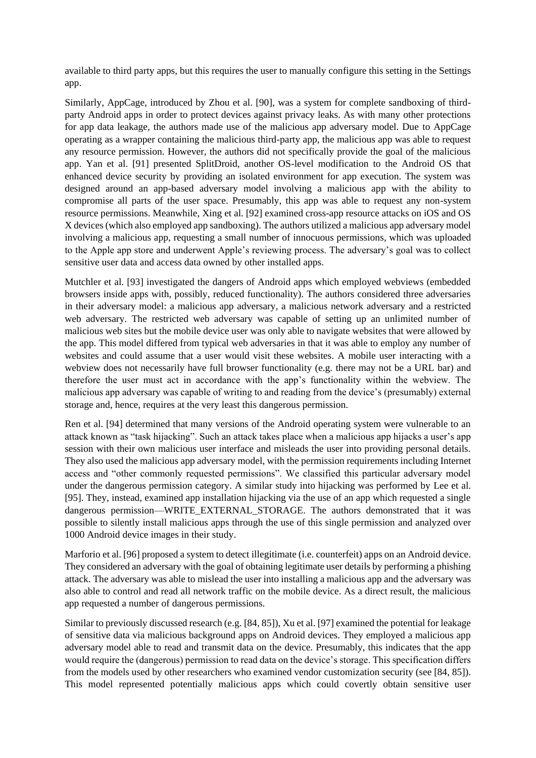available to third party apps, but this requires the user to manually configure this setting in the Settings app.

Similarly, AppCage, introduced by Zhou et al. [90], was a system for complete sandboxing of thirdparty Android apps in order to protect devices against privacy leaks. As with many other protections for app data leakage, the authors made use of the malicious app adversary model. Due to AppCage operating as a wrapper containing the malicious third-party app, the malicious app was able to request any resource permission. However, the authors did not specifically provide the goal of the malicious app. Yan et al. [91] presented SplitDroid, another OS-level modification to the Android OS that enhanced device security by providing an isolated environment for app execution. The system was designed around an app-based adversary model involving a malicious app with the ability to compromise all parts of the user space. Presumably, this app was able to request any non-system resource permissions. Meanwhile, Xing et al. [92] examined cross-app resource attacks on iOS and OS X devices (which also employed app sandboxing). The authors utilized a malicious app adversary model involving a malicious app, requesting a small number of innocuous permissions, which was uploaded to the Apple app store and underwent Apple's reviewing process. The adversary's goal was to collect sensitive user data and access data owned by other installed apps.

Mutchler et al. [93] investigated the dangers of Android apps which employed webviews (embedded browsers inside apps with, possibly, reduced functionality). The authors considered three adversaries in their adversary model: a malicious app adversary, a malicious network adversary and a restricted web adversary. The restricted web adversary was capable of setting up an unlimited number of malicious web sites but the mobile device user was only able to navigate websites that were allowed by the app. This model differed from typical web adversaries in that it was able to employ any number of websites and could assume that a user would visit these websites. A mobile user interacting with a webview does not necessarily have full browser functionality (e.g. there may not be a URL bar) and therefore the user must act in accordance with the app's functionality within the webview. The malicious app adversary was capable of writing to and reading from the device's (presumably) external storage and, hence, requires at the very least this dangerous permission.

Ren et al. [94] determined that many versions of the Android operating system were vulnerable to an attack known as "task hijacking". Such an attack takes place when a malicious app hijacks a user's app session with their own malicious user interface and misleads the user into providing personal details. They also used the malicious app adversary model, with the permission requirements including Internet access and "other commonly requested permissions". We classified this particular adversary model under the dangerous permission category. A similar study into hijacking was performed by Lee et al. [95]. They, instead, examined app installation hijacking via the use of an app which requested a single dangerous permission—WRITE\_EXTERNAL\_STORAGE. The authors demonstrated that it was possible to silently install malicious apps through the use of this single permission and analyzed over 1000 Android device images in their study.

Marforio et al. [96] proposed a system to detect illegitimate (i.e. counterfeit) apps on an Android device. They considered an adversary with the goal of obtaining legitimate user details by performing a phishing attack. The adversary was able to mislead the user into installing a malicious app and the adversary was also able to control and read all network traffic on the mobile device. As a direct result, the malicious app requested a number of dangerous permissions.

Similar to previously discussed research (e.g. [84, 85]), Xu et al. [97] examined the potential for leakage of sensitive data via malicious background apps on Android devices. They employed a malicious app adversary model able to read and transmit data on the device. Presumably, this indicates that the app would require the (dangerous) permission to read data on the device's storage. This specification differs from the models used by other researchers who examined vendor customization security (see [84, 85]). This model represented potentially malicious apps which could covertly obtain sensitive user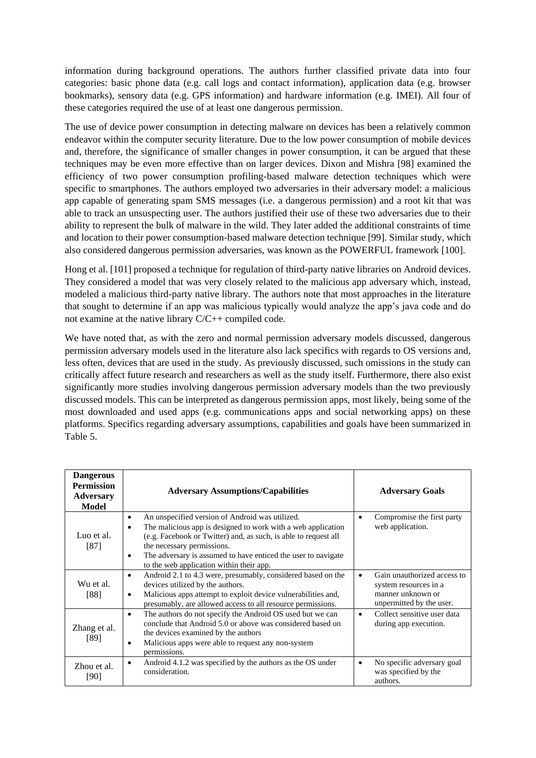information during background operations. The authors further classified private data into four categories: basic phone data (e.g. call logs and contact information), application data (e.g. browser bookmarks), sensory data (e.g. GPS information) and hardware information (e.g. IMEI). All four of these categories required the use of at least one dangerous permission.

The use of device power consumption in detecting malware on devices has been a relatively common endeavor within the computer security literature. Due to the low power consumption of mobile devices and, therefore, the significance of smaller changes in power consumption, it can be argued that these techniques may be even more effective than on larger devices. Dixon and Mishra [98] examined the efficiency of two power consumption profiling-based malware detection techniques which were specific to smartphones. The authors employed two adversaries in their adversary model: a malicious app capable of generating spam SMS messages (i.e. a dangerous permission) and a root kit that was able to track an unsuspecting user. The authors justified their use of these two adversaries due to their ability to represent the bulk of malware in the wild. They later added the additional constraints of time and location to their power consumption-based malware detection technique [99]. Similar study, which also considered dangerous permission adversaries, was known as the POWERFUL framework [100].

Hong et al. [101] proposed a technique for regulation of third-party native libraries on Android devices. They considered a model that was very closely related to the malicious app adversary which, instead, modeled a malicious third-party native library. The authors note that most approaches in the literature that sought to determine if an app was malicious typically would analyze the app's java code and do not examine at the native library C/C++ compiled code.

We have noted that, as with the zero and normal permission adversary models discussed, dangerous permission adversary models used in the literature also lack specifics with regards to OS versions and, less often, devices that are used in the study. As previously discussed, such omissions in the study can critically affect future research and researchers as well as the study itself. Furthermore, there also exist significantly more studies involving dangerous permission adversary models than the two previously discussed models. This can be interpreted as dangerous permission apps, most likely, being some of the most downloaded and used apps (e.g. communications apps and social networking apps) on these platforms. Specifics regarding adversary assumptions, capabilities and goals have been summarized in Table 5.

| <b>Dangerous</b><br><b>Permission</b><br><b>Adversary</b><br><b>Model</b> | <b>Adversary Assumptions/Capabilities</b>                                                                                                                                                                                                                                                                                          | <b>Adversary Goals</b>                                                                                             |
|---------------------------------------------------------------------------|------------------------------------------------------------------------------------------------------------------------------------------------------------------------------------------------------------------------------------------------------------------------------------------------------------------------------------|--------------------------------------------------------------------------------------------------------------------|
| Luo et al.<br>$[87]$                                                      | An unspecified version of Android was utilized.<br>The malicious app is designed to work with a web application<br>(e.g. Facebook or Twitter) and, as such, is able to request all<br>the necessary permissions.<br>The adversary is assumed to have enticed the user to navigate<br>٠<br>to the web application within their app. | Compromise the first party<br>٠<br>web application.                                                                |
| Wu et al.<br>[88]                                                         | Android 2.1 to 4.3 were, presumably, considered based on the<br>$\bullet$<br>devices utilized by the authors.<br>Malicious apps attempt to exploit device vulnerabilities and,<br>$\bullet$<br>presumably, are allowed access to all resource permissions.                                                                         | Gain unauthorized access to<br>$\bullet$<br>system resources in a<br>manner unknown or<br>unpermitted by the user. |
| Zhang et al.<br>[89]                                                      | The authors do not specify the Android OS used but we can<br>conclude that Android 5.0 or above was considered based on<br>the devices examined by the authors<br>Malicious apps were able to request any non-system<br>permissions.                                                                                               | Collect sensitive user data<br>$\bullet$<br>during app execution.                                                  |
| Zhou et al.<br>[90]                                                       | Android 4.1.2 was specified by the authors as the OS under<br>٠<br>consideration.                                                                                                                                                                                                                                                  | No specific adversary goal<br>$\bullet$<br>was specified by the<br>authors.                                        |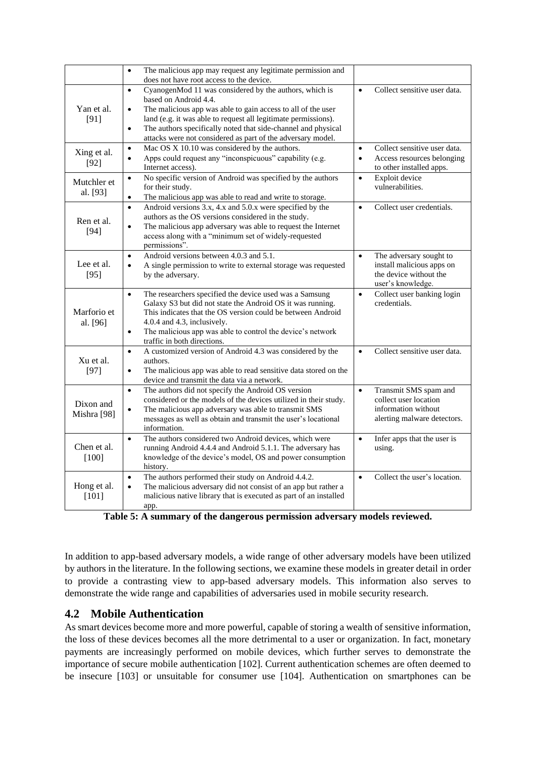|                     | The malicious app may request any legitimate permission and<br>$\bullet$<br>does not have root access to the device.                            |                                                                     |
|---------------------|-------------------------------------------------------------------------------------------------------------------------------------------------|---------------------------------------------------------------------|
| Yan et al.<br>[91]  | CyanogenMod 11 was considered by the authors, which is<br>$\bullet$<br>based on Android 4.4.                                                    | Collect sensitive user data.<br>$\bullet$                           |
|                     | The malicious app was able to gain access to all of the user<br>$\bullet$                                                                       |                                                                     |
|                     | land (e.g. it was able to request all legitimate permissions).<br>The authors specifically noted that side-channel and physical<br>$\bullet$    |                                                                     |
|                     | attacks were not considered as part of the adversary model.                                                                                     |                                                                     |
| Xing et al.         | Mac OS X 10.10 was considered by the authors.<br>$\bullet$                                                                                      | Collect sensitive user data.<br>$\bullet$                           |
| $[92]$              | Apps could request any "inconspicuous" capability (e.g.<br>$\bullet$<br>Internet access).                                                       | Access resources belonging<br>$\bullet$<br>to other installed apps. |
| Mutchler et         | No specific version of Android was specified by the authors<br>$\bullet$<br>for their study.                                                    | Exploit device<br>$\bullet$<br>vulnerabilities.                     |
| al. [93]            | The malicious app was able to read and write to storage.<br>$\bullet$                                                                           |                                                                     |
|                     | Android versions $3.x$ , $4.x$ and $5.0.x$ were specified by the<br>$\bullet$                                                                   | Collect user credentials.<br>$\bullet$                              |
| Ren et al.          | authors as the OS versions considered in the study.<br>The malicious app adversary was able to request the Internet<br>$\bullet$                |                                                                     |
| $[94]$              | access along with a "minimum set of widely-requested                                                                                            |                                                                     |
|                     | permissions".                                                                                                                                   |                                                                     |
| Lee et al.          | Android versions between 4.0.3 and 5.1.<br>$\bullet$<br>$\bullet$                                                                               | The adversary sought to<br>$\bullet$<br>install malicious apps on   |
| $[95]$              | A single permission to write to external storage was requested<br>by the adversary.                                                             | the device without the                                              |
|                     |                                                                                                                                                 | user's knowledge.                                                   |
|                     | The researchers specified the device used was a Samsung<br>$\bullet$<br>Galaxy S3 but did not state the Android OS it was running.              | $\bullet$<br>Collect user banking login<br>credentials.             |
| Marforio et         | This indicates that the OS version could be between Android                                                                                     |                                                                     |
| al. [96]            | 4.0.4 and 4.3, inclusively.                                                                                                                     |                                                                     |
|                     | The malicious app was able to control the device's network<br>$\bullet$<br>traffic in both directions.                                          |                                                                     |
|                     | A customized version of Android 4.3 was considered by the<br>$\bullet$                                                                          | Collect sensitive user data.<br>$\bullet$                           |
| Xu et al.<br>$[97]$ | authors.<br>The malicious app was able to read sensitive data stored on the<br>$\bullet$                                                        |                                                                     |
|                     | device and transmit the data via a network.                                                                                                     |                                                                     |
|                     | The authors did not specify the Android OS version<br>$\bullet$                                                                                 | Transmit SMS spam and<br>$\bullet$                                  |
| Dixon and           | considered or the models of the devices utilized in their study.<br>The malicious app adversary was able to transmit SMS<br>$\bullet$           | collect user location<br>information without                        |
| Mishra [98]         | messages as well as obtain and transmit the user's locational                                                                                   | alerting malware detectors.                                         |
|                     | information.                                                                                                                                    |                                                                     |
| Chen et al.         | The authors considered two Android devices, which were<br>$\bullet$<br>running Android 4.4.4 and Android 5.1.1. The adversary has               | Infer apps that the user is<br>$\bullet$<br>using.                  |
| $[100]$             | knowledge of the device's model, OS and power consumption                                                                                       |                                                                     |
|                     | history.                                                                                                                                        |                                                                     |
| Hong et al.         | The authors performed their study on Android 4.4.2.<br>$\bullet$<br>The malicious adversary did not consist of an app but rather a<br>$\bullet$ | Collect the user's location.<br>$\bullet$                           |
| [101]               | malicious native library that is executed as part of an installed                                                                               |                                                                     |
|                     | app.                                                                                                                                            |                                                                     |

**Table 5: A summary of the dangerous permission adversary models reviewed.**

In addition to app-based adversary models, a wide range of other adversary models have been utilized by authors in the literature. In the following sections, we examine these models in greater detail in order to provide a contrasting view to app-based adversary models. This information also serves to demonstrate the wide range and capabilities of adversaries used in mobile security research.

### **4.2 Mobile Authentication**

As smart devices become more and more powerful, capable of storing a wealth of sensitive information, the loss of these devices becomes all the more detrimental to a user or organization. In fact, monetary payments are increasingly performed on mobile devices, which further serves to demonstrate the importance of secure mobile authentication [102]. Current authentication schemes are often deemed to be insecure [103] or unsuitable for consumer use [104]. Authentication on smartphones can be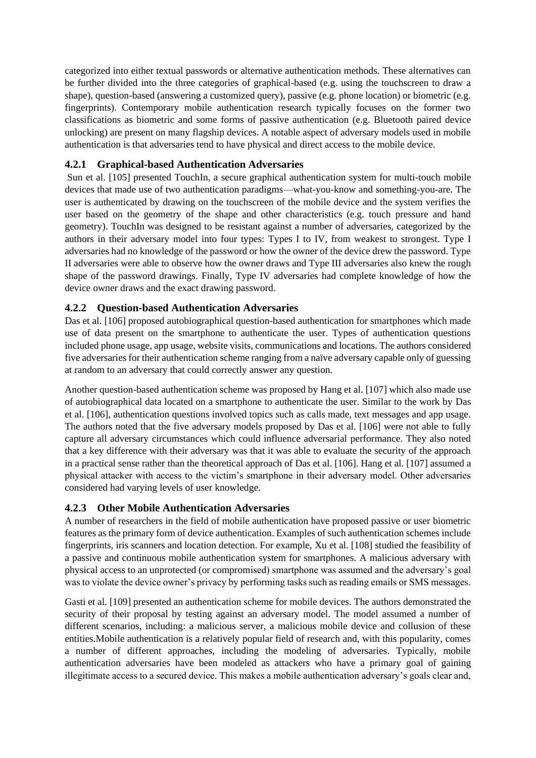categorized into either textual passwords or alternative authentication methods. These alternatives can be further divided into the three categories of graphical-based (e.g. using the touchscreen to draw a shape), question-based (answering a customized query), passive (e.g. phone location) or biometric (e.g. fingerprints). Contemporary mobile authentication research typically focuses on the former two classifications as biometric and some forms of passive authentication (e.g. Bluetooth paired device unlocking) are present on many flagship devices. A notable aspect of adversary models used in mobile authentication is that adversaries tend to have physical and direct access to the mobile device.

#### **4.2.1 Graphical-based Authentication Adversaries**

Sun et al. [105] presented TouchIn, a secure graphical authentication system for multi-touch mobile devices that made use of two authentication paradigms—what-you-know and something-you-are. The user is authenticated by drawing on the touchscreen of the mobile device and the system verifies the user based on the geometry of the shape and other characteristics (e.g. touch pressure and hand geometry). TouchIn was designed to be resistant against a number of adversaries, categorized by the authors in their adversary model into four types: Types I to IV, from weakest to strongest. Type I adversaries had no knowledge of the password or how the owner of the device drew the password. Type II adversaries were able to observe how the owner draws and Type III adversaries also knew the rough shape of the password drawings. Finally, Type IV adversaries had complete knowledge of how the device owner draws and the exact drawing password.

#### **4.2.2 Question-based Authentication Adversaries**

Das et al. [106] proposed autobiographical question-based authentication for smartphones which made use of data present on the smartphone to authenticate the user. Types of authentication questions included phone usage, app usage, website visits, communications and locations. The authors considered five adversaries for their authentication scheme ranging from a naïve adversary capable only of guessing at random to an adversary that could correctly answer any question.

Another question-based authentication scheme was proposed by Hang et al. [107] which also made use of autobiographical data located on a smartphone to authenticate the user. Similar to the work by Das et al. [106], authentication questions involved topics such as calls made, text messages and app usage. The authors noted that the five adversary models proposed by Das et al. [106] were not able to fully capture all adversary circumstances which could influence adversarial performance. They also noted that a key difference with their adversary was that it was able to evaluate the security of the approach in a practical sense rather than the theoretical approach of Das et al. [106]. Hang et al. [107] assumed a physical attacker with access to the victim's smartphone in their adversary model. Other adversaries considered had varying levels of user knowledge.

#### **4.2.3 Other Mobile Authentication Adversaries**

A number of researchers in the field of mobile authentication have proposed passive or user biometric features as the primary form of device authentication. Examples of such authentication schemes include fingerprints, iris scanners and location detection. For example, Xu et al. [108] studied the feasibility of a passive and continuous mobile authentication system for smartphones. A malicious adversary with physical access to an unprotected (or compromised) smartphone was assumed and the adversary's goal was to violate the device owner's privacy by performing tasks such as reading emails or SMS messages.

Gasti et al. [109] presented an authentication scheme for mobile devices. The authors demonstrated the security of their proposal by testing against an adversary model. The model assumed a number of different scenarios, including: a malicious server, a malicious mobile device and collusion of these entities.Mobile authentication is a relatively popular field of research and, with this popularity, comes a number of different approaches, including the modeling of adversaries. Typically, mobile authentication adversaries have been modeled as attackers who have a primary goal of gaining illegitimate access to a secured device. This makes a mobile authentication adversary's goals clear and,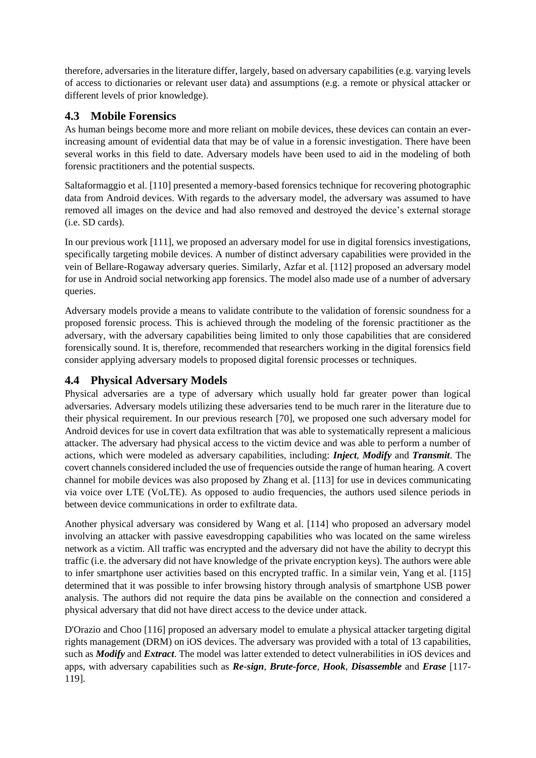therefore, adversaries in the literature differ, largely, based on adversary capabilities (e.g. varying levels of access to dictionaries or relevant user data) and assumptions (e.g. a remote or physical attacker or different levels of prior knowledge).

## **4.3 Mobile Forensics**

As human beings become more and more reliant on mobile devices, these devices can contain an everincreasing amount of evidential data that may be of value in a forensic investigation. There have been several works in this field to date. Adversary models have been used to aid in the modeling of both forensic practitioners and the potential suspects.

Saltaformaggio et al. [110] presented a memory-based forensics technique for recovering photographic data from Android devices. With regards to the adversary model, the adversary was assumed to have removed all images on the device and had also removed and destroyed the device's external storage (i.e. SD cards).

In our previous work [111], we proposed an adversary model for use in digital forensics investigations, specifically targeting mobile devices. A number of distinct adversary capabilities were provided in the vein of Bellare-Rogaway adversary queries. Similarly, Azfar et al. [112] proposed an adversary model for use in Android social networking app forensics. The model also made use of a number of adversary queries.

Adversary models provide a means to validate contribute to the validation of forensic soundness for a proposed forensic process. This is achieved through the modeling of the forensic practitioner as the adversary, with the adversary capabilities being limited to only those capabilities that are considered forensically sound. It is, therefore, recommended that researchers working in the digital forensics field consider applying adversary models to proposed digital forensic processes or techniques.

#### **4.4 Physical Adversary Models**

Physical adversaries are a type of adversary which usually hold far greater power than logical adversaries. Adversary models utilizing these adversaries tend to be much rarer in the literature due to their physical requirement. In our previous research [70], we proposed one such adversary model for Android devices for use in covert data exfiltration that was able to systematically represent a malicious attacker. The adversary had physical access to the victim device and was able to perform a number of actions, which were modeled as adversary capabilities, including: *Inject*, *Modify* and *Transmit*. The covert channels considered included the use of frequencies outside the range of human hearing. A covert channel for mobile devices was also proposed by Zhang et al. [113] for use in devices communicating via voice over LTE (VoLTE). As opposed to audio frequencies, the authors used silence periods in between device communications in order to exfiltrate data.

Another physical adversary was considered by Wang et al. [114] who proposed an adversary model involving an attacker with passive eavesdropping capabilities who was located on the same wireless network as a victim. All traffic was encrypted and the adversary did not have the ability to decrypt this traffic (i.e. the adversary did not have knowledge of the private encryption keys). The authors were able to infer smartphone user activities based on this encrypted traffic. In a similar vein, Yang et al. [115] determined that it was possible to infer browsing history through analysis of smartphone USB power analysis. The authors did not require the data pins be available on the connection and considered a physical adversary that did not have direct access to the device under attack.

D'Orazio and Choo [116] proposed an adversary model to emulate a physical attacker targeting digital rights management (DRM) on iOS devices. The adversary was provided with a total of 13 capabilities, such as *Modify* and *Extract*. The model was latter extended to detect vulnerabilities in iOS devices and apps, with adversary capabilities such as *Re-sign*, *Brute-force*, *Hook*, *Disassemble* and *Erase* [117- 119].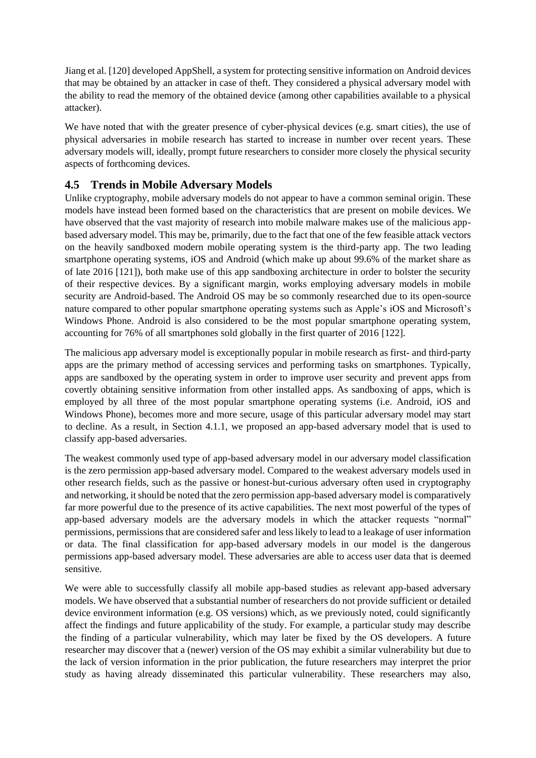Jiang et al. [120] developed AppShell, a system for protecting sensitive information on Android devices that may be obtained by an attacker in case of theft. They considered a physical adversary model with the ability to read the memory of the obtained device (among other capabilities available to a physical attacker).

We have noted that with the greater presence of cyber-physical devices (e.g. smart cities), the use of physical adversaries in mobile research has started to increase in number over recent years. These adversary models will, ideally, prompt future researchers to consider more closely the physical security aspects of forthcoming devices.

### **4.5 Trends in Mobile Adversary Models**

Unlike cryptography, mobile adversary models do not appear to have a common seminal origin. These models have instead been formed based on the characteristics that are present on mobile devices. We have observed that the vast majority of research into mobile malware makes use of the malicious appbased adversary model. This may be, primarily, due to the fact that one of the few feasible attack vectors on the heavily sandboxed modern mobile operating system is the third-party app. The two leading smartphone operating systems, iOS and Android (which make up about 99.6% of the market share as of late 2016 [121]), both make use of this app sandboxing architecture in order to bolster the security of their respective devices. By a significant margin, works employing adversary models in mobile security are Android-based. The Android OS may be so commonly researched due to its open-source nature compared to other popular smartphone operating systems such as Apple's iOS and Microsoft's Windows Phone. Android is also considered to be the most popular smartphone operating system, accounting for 76% of all smartphones sold globally in the first quarter of 2016 [122].

The malicious app adversary model is exceptionally popular in mobile research as first- and third-party apps are the primary method of accessing services and performing tasks on smartphones. Typically, apps are sandboxed by the operating system in order to improve user security and prevent apps from covertly obtaining sensitive information from other installed apps. As sandboxing of apps, which is employed by all three of the most popular smartphone operating systems (i.e. Android, iOS and Windows Phone), becomes more and more secure, usage of this particular adversary model may start to decline. As a result, in Section 4.1.1, we proposed an app-based adversary model that is used to classify app-based adversaries.

The weakest commonly used type of app-based adversary model in our adversary model classification is the zero permission app-based adversary model. Compared to the weakest adversary models used in other research fields, such as the passive or honest-but-curious adversary often used in cryptography and networking, it should be noted that the zero permission app-based adversary model is comparatively far more powerful due to the presence of its active capabilities. The next most powerful of the types of app-based adversary models are the adversary models in which the attacker requests "normal" permissions, permissions that are considered safer and less likely to lead to a leakage of user information or data. The final classification for app-based adversary models in our model is the dangerous permissions app-based adversary model. These adversaries are able to access user data that is deemed sensitive.

We were able to successfully classify all mobile app-based studies as relevant app-based adversary models. We have observed that a substantial number of researchers do not provide sufficient or detailed device environment information (e.g. OS versions) which, as we previously noted, could significantly affect the findings and future applicability of the study. For example, a particular study may describe the finding of a particular vulnerability, which may later be fixed by the OS developers. A future researcher may discover that a (newer) version of the OS may exhibit a similar vulnerability but due to the lack of version information in the prior publication, the future researchers may interpret the prior study as having already disseminated this particular vulnerability. These researchers may also,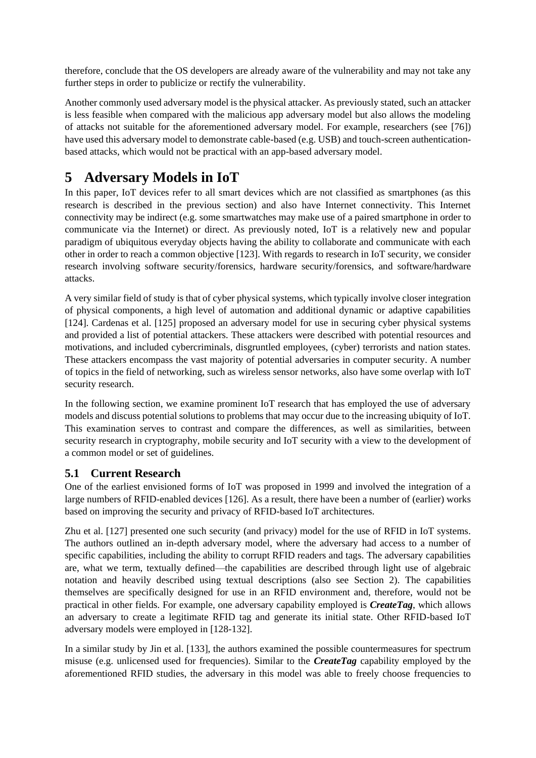therefore, conclude that the OS developers are already aware of the vulnerability and may not take any further steps in order to publicize or rectify the vulnerability.

Another commonly used adversary model is the physical attacker. As previously stated, such an attacker is less feasible when compared with the malicious app adversary model but also allows the modeling of attacks not suitable for the aforementioned adversary model. For example, researchers (see [76]) have used this adversary model to demonstrate cable-based (e.g. USB) and touch-screen authenticationbased attacks, which would not be practical with an app-based adversary model.

## **5 Adversary Models in IoT**

In this paper, IoT devices refer to all smart devices which are not classified as smartphones (as this research is described in the previous section) and also have Internet connectivity. This Internet connectivity may be indirect (e.g. some smartwatches may make use of a paired smartphone in order to communicate via the Internet) or direct. As previously noted, IoT is a relatively new and popular paradigm of ubiquitous everyday objects having the ability to collaborate and communicate with each other in order to reach a common objective [123]. With regards to research in IoT security, we consider research involving software security/forensics, hardware security/forensics, and software/hardware attacks.

A very similar field of study is that of cyber physical systems, which typically involve closer integration of physical components, a high level of automation and additional dynamic or adaptive capabilities [124]. Cardenas et al. [125] proposed an adversary model for use in securing cyber physical systems and provided a list of potential attackers. These attackers were described with potential resources and motivations, and included cybercriminals, disgruntled employees, (cyber) terrorists and nation states. These attackers encompass the vast majority of potential adversaries in computer security. A number of topics in the field of networking, such as wireless sensor networks, also have some overlap with IoT security research.

In the following section, we examine prominent IoT research that has employed the use of adversary models and discuss potential solutions to problems that may occur due to the increasing ubiquity of IoT. This examination serves to contrast and compare the differences, as well as similarities, between security research in cryptography, mobile security and IoT security with a view to the development of a common model or set of guidelines.

## **5.1 Current Research**

One of the earliest envisioned forms of IoT was proposed in 1999 and involved the integration of a large numbers of RFID-enabled devices [126]. As a result, there have been a number of (earlier) works based on improving the security and privacy of RFID-based IoT architectures.

Zhu et al. [127] presented one such security (and privacy) model for the use of RFID in IoT systems. The authors outlined an in-depth adversary model, where the adversary had access to a number of specific capabilities, including the ability to corrupt RFID readers and tags. The adversary capabilities are, what we term, textually defined—the capabilities are described through light use of algebraic notation and heavily described using textual descriptions (also see Section 2). The capabilities themselves are specifically designed for use in an RFID environment and, therefore, would not be practical in other fields. For example, one adversary capability employed is *CreateTag*, which allows an adversary to create a legitimate RFID tag and generate its initial state. Other RFID-based IoT adversary models were employed in [128-132].

In a similar study by Jin et al. [133], the authors examined the possible countermeasures for spectrum misuse (e.g. unlicensed used for frequencies). Similar to the *CreateTag* capability employed by the aforementioned RFID studies, the adversary in this model was able to freely choose frequencies to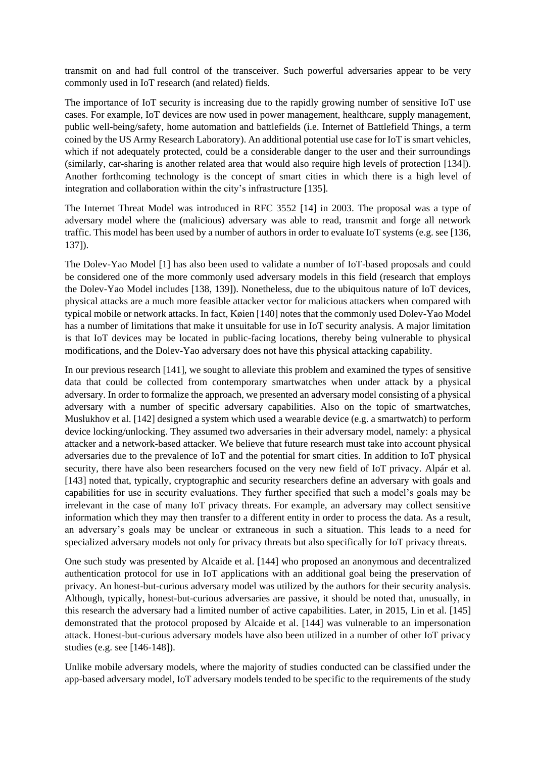transmit on and had full control of the transceiver. Such powerful adversaries appear to be very commonly used in IoT research (and related) fields.

The importance of IoT security is increasing due to the rapidly growing number of sensitive IoT use cases. For example, IoT devices are now used in power management, healthcare, supply management, public well-being/safety, home automation and battlefields (i.e. Internet of Battlefield Things, a term coined by the US Army Research Laboratory). An additional potential use case for IoT is smart vehicles, which if not adequately protected, could be a considerable danger to the user and their surroundings (similarly, car-sharing is another related area that would also require high levels of protection [134]). Another forthcoming technology is the concept of smart cities in which there is a high level of integration and collaboration within the city's infrastructure [135].

The Internet Threat Model was introduced in RFC 3552 [14] in 2003. The proposal was a type of adversary model where the (malicious) adversary was able to read, transmit and forge all network traffic. This model has been used by a number of authors in order to evaluate IoT systems (e.g. see [136, 137]).

The Dolev-Yao Model [1] has also been used to validate a number of IoT-based proposals and could be considered one of the more commonly used adversary models in this field (research that employs the Dolev-Yao Model includes [138, 139]). Nonetheless, due to the ubiquitous nature of IoT devices, physical attacks are a much more feasible attacker vector for malicious attackers when compared with typical mobile or network attacks. In fact, Køien [140] notes that the commonly used Dolev-Yao Model has a number of limitations that make it unsuitable for use in IoT security analysis. A major limitation is that IoT devices may be located in public-facing locations, thereby being vulnerable to physical modifications, and the Dolev-Yao adversary does not have this physical attacking capability.

In our previous research [141], we sought to alleviate this problem and examined the types of sensitive data that could be collected from contemporary smartwatches when under attack by a physical adversary. In order to formalize the approach, we presented an adversary model consisting of a physical adversary with a number of specific adversary capabilities. Also on the topic of smartwatches, Muslukhov et al. [142] designed a system which used a wearable device (e.g. a smartwatch) to perform device locking/unlocking. They assumed two adversaries in their adversary model, namely: a physical attacker and a network-based attacker. We believe that future research must take into account physical adversaries due to the prevalence of IoT and the potential for smart cities. In addition to IoT physical security, there have also been researchers focused on the very new field of IoT privacy. Alpár et al. [143] noted that, typically, cryptographic and security researchers define an adversary with goals and capabilities for use in security evaluations. They further specified that such a model's goals may be irrelevant in the case of many IoT privacy threats. For example, an adversary may collect sensitive information which they may then transfer to a different entity in order to process the data. As a result, an adversary's goals may be unclear or extraneous in such a situation. This leads to a need for specialized adversary models not only for privacy threats but also specifically for IoT privacy threats.

One such study was presented by Alcaide et al. [144] who proposed an anonymous and decentralized authentication protocol for use in IoT applications with an additional goal being the preservation of privacy. An honest-but-curious adversary model was utilized by the authors for their security analysis. Although, typically, honest-but-curious adversaries are passive, it should be noted that, unusually, in this research the adversary had a limited number of active capabilities. Later, in 2015, Lin et al. [145] demonstrated that the protocol proposed by Alcaide et al. [144] was vulnerable to an impersonation attack. Honest-but-curious adversary models have also been utilized in a number of other IoT privacy studies (e.g. see [146-148]).

Unlike mobile adversary models, where the majority of studies conducted can be classified under the app-based adversary model, IoT adversary models tended to be specific to the requirements of the study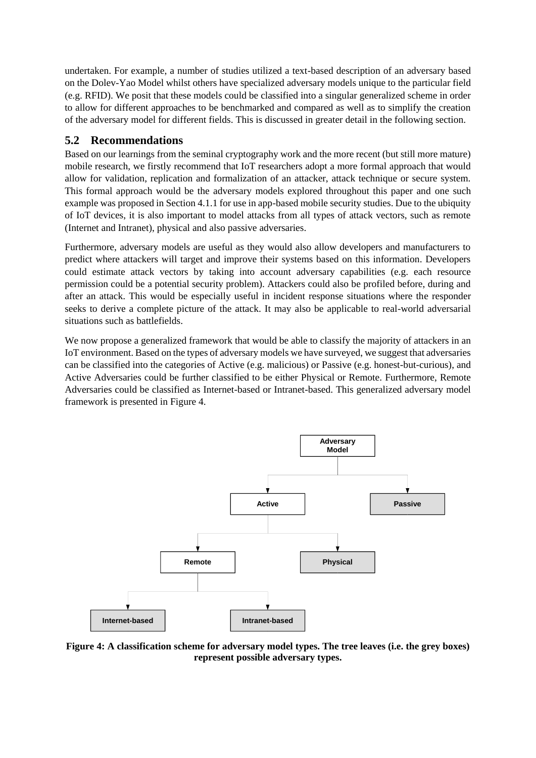undertaken. For example, a number of studies utilized a text-based description of an adversary based on the Dolev-Yao Model whilst others have specialized adversary models unique to the particular field (e.g. RFID). We posit that these models could be classified into a singular generalized scheme in order to allow for different approaches to be benchmarked and compared as well as to simplify the creation of the adversary model for different fields. This is discussed in greater detail in the following section.

#### **5.2 Recommendations**

Based on our learnings from the seminal cryptography work and the more recent (but still more mature) mobile research, we firstly recommend that IoT researchers adopt a more formal approach that would allow for validation, replication and formalization of an attacker, attack technique or secure system. This formal approach would be the adversary models explored throughout this paper and one such example was proposed in Section 4.1.1 for use in app-based mobile security studies. Due to the ubiquity of IoT devices, it is also important to model attacks from all types of attack vectors, such as remote (Internet and Intranet), physical and also passive adversaries.

Furthermore, adversary models are useful as they would also allow developers and manufacturers to predict where attackers will target and improve their systems based on this information. Developers could estimate attack vectors by taking into account adversary capabilities (e.g. each resource permission could be a potential security problem). Attackers could also be profiled before, during and after an attack. This would be especially useful in incident response situations where the responder seeks to derive a complete picture of the attack. It may also be applicable to real-world adversarial situations such as battlefields.

We now propose a generalized framework that would be able to classify the majority of attackers in an IoT environment. Based on the types of adversary models we have surveyed, we suggest that adversaries can be classified into the categories of Active (e.g. malicious) or Passive (e.g. honest-but-curious), and Active Adversaries could be further classified to be either Physical or Remote. Furthermore, Remote Adversaries could be classified as Internet-based or Intranet-based. This generalized adversary model framework is presented in Figure 4.



**Figure 4: A classification scheme for adversary model types. The tree leaves (i.e. the grey boxes) represent possible adversary types.**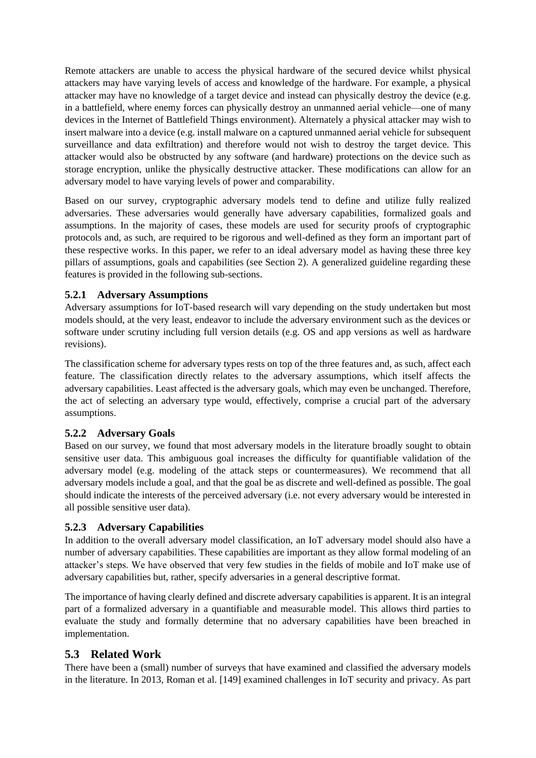Remote attackers are unable to access the physical hardware of the secured device whilst physical attackers may have varying levels of access and knowledge of the hardware. For example, a physical attacker may have no knowledge of a target device and instead can physically destroy the device (e.g. in a battlefield, where enemy forces can physically destroy an unmanned aerial vehicle—one of many devices in the Internet of Battlefield Things environment). Alternately a physical attacker may wish to insert malware into a device (e.g. install malware on a captured unmanned aerial vehicle for subsequent surveillance and data exfiltration) and therefore would not wish to destroy the target device. This attacker would also be obstructed by any software (and hardware) protections on the device such as storage encryption, unlike the physically destructive attacker. These modifications can allow for an adversary model to have varying levels of power and comparability.

Based on our survey, cryptographic adversary models tend to define and utilize fully realized adversaries. These adversaries would generally have adversary capabilities, formalized goals and assumptions. In the majority of cases, these models are used for security proofs of cryptographic protocols and, as such, are required to be rigorous and well-defined as they form an important part of these respective works. In this paper, we refer to an ideal adversary model as having these three key pillars of assumptions, goals and capabilities (see Section 2). A generalized guideline regarding these features is provided in the following sub-sections.

#### **5.2.1 Adversary Assumptions**

Adversary assumptions for IoT-based research will vary depending on the study undertaken but most models should, at the very least, endeavor to include the adversary environment such as the devices or software under scrutiny including full version details (e.g. OS and app versions as well as hardware revisions).

The classification scheme for adversary types rests on top of the three features and, as such, affect each feature. The classification directly relates to the adversary assumptions, which itself affects the adversary capabilities. Least affected is the adversary goals, which may even be unchanged. Therefore, the act of selecting an adversary type would, effectively, comprise a crucial part of the adversary assumptions.

#### **5.2.2 Adversary Goals**

Based on our survey, we found that most adversary models in the literature broadly sought to obtain sensitive user data. This ambiguous goal increases the difficulty for quantifiable validation of the adversary model (e.g. modeling of the attack steps or countermeasures). We recommend that all adversary models include a goal, and that the goal be as discrete and well-defined as possible. The goal should indicate the interests of the perceived adversary (i.e. not every adversary would be interested in all possible sensitive user data).

#### **5.2.3 Adversary Capabilities**

In addition to the overall adversary model classification, an IoT adversary model should also have a number of adversary capabilities. These capabilities are important as they allow formal modeling of an attacker's steps. We have observed that very few studies in the fields of mobile and IoT make use of adversary capabilities but, rather, specify adversaries in a general descriptive format.

The importance of having clearly defined and discrete adversary capabilities is apparent. It is an integral part of a formalized adversary in a quantifiable and measurable model. This allows third parties to evaluate the study and formally determine that no adversary capabilities have been breached in implementation.

### **5.3 Related Work**

There have been a (small) number of surveys that have examined and classified the adversary models in the literature. In 2013, Roman et al. [149] examined challenges in IoT security and privacy. As part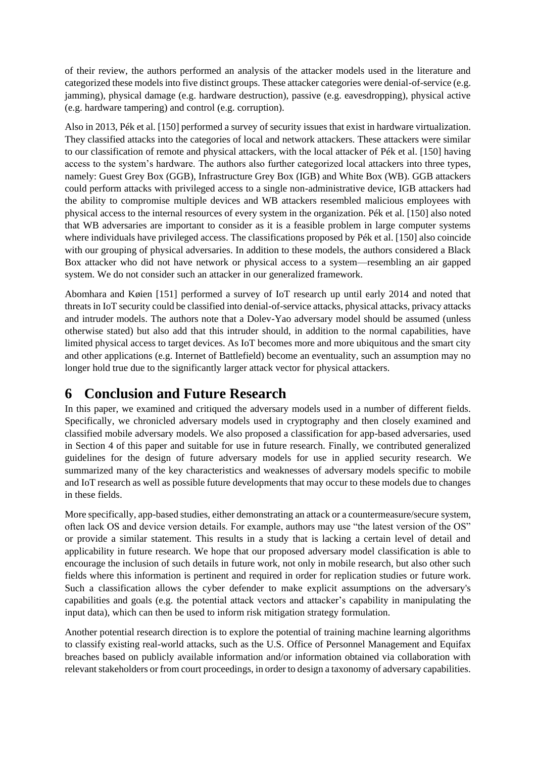of their review, the authors performed an analysis of the attacker models used in the literature and categorized these models into five distinct groups. These attacker categories were denial-of-service (e.g. jamming), physical damage (e.g. hardware destruction), passive (e.g. eavesdropping), physical active (e.g. hardware tampering) and control (e.g. corruption).

Also in 2013, Pék et al. [150] performed a survey of security issues that exist in hardware virtualization. They classified attacks into the categories of local and network attackers. These attackers were similar to our classification of remote and physical attackers, with the local attacker of Pék et al. [150] having access to the system's hardware. The authors also further categorized local attackers into three types, namely: Guest Grey Box (GGB), Infrastructure Grey Box (IGB) and White Box (WB). GGB attackers could perform attacks with privileged access to a single non-administrative device, IGB attackers had the ability to compromise multiple devices and WB attackers resembled malicious employees with physical access to the internal resources of every system in the organization. Pék et al. [150] also noted that WB adversaries are important to consider as it is a feasible problem in large computer systems where individuals have privileged access. The classifications proposed by Pék et al. [150] also coincide with our grouping of physical adversaries. In addition to these models, the authors considered a Black Box attacker who did not have network or physical access to a system—resembling an air gapped system. We do not consider such an attacker in our generalized framework.

Abomhara and Køien [151] performed a survey of IoT research up until early 2014 and noted that threats in IoT security could be classified into denial-of-service attacks, physical attacks, privacy attacks and intruder models. The authors note that a Dolev-Yao adversary model should be assumed (unless otherwise stated) but also add that this intruder should, in addition to the normal capabilities, have limited physical access to target devices. As IoT becomes more and more ubiquitous and the smart city and other applications (e.g. Internet of Battlefield) become an eventuality, such an assumption may no longer hold true due to the significantly larger attack vector for physical attackers.

## **6 Conclusion and Future Research**

In this paper, we examined and critiqued the adversary models used in a number of different fields. Specifically, we chronicled adversary models used in cryptography and then closely examined and classified mobile adversary models. We also proposed a classification for app-based adversaries, used in Section 4 of this paper and suitable for use in future research. Finally, we contributed generalized guidelines for the design of future adversary models for use in applied security research. We summarized many of the key characteristics and weaknesses of adversary models specific to mobile and IoT research as well as possible future developments that may occur to these models due to changes in these fields.

More specifically, app-based studies, either demonstrating an attack or a countermeasure/secure system, often lack OS and device version details. For example, authors may use "the latest version of the OS" or provide a similar statement. This results in a study that is lacking a certain level of detail and applicability in future research. We hope that our proposed adversary model classification is able to encourage the inclusion of such details in future work, not only in mobile research, but also other such fields where this information is pertinent and required in order for replication studies or future work. Such a classification allows the cyber defender to make explicit assumptions on the adversary's capabilities and goals (e.g. the potential attack vectors and attacker's capability in manipulating the input data), which can then be used to inform risk mitigation strategy formulation.

Another potential research direction is to explore the potential of training machine learning algorithms to classify existing real-world attacks, such as the U.S. Office of Personnel Management and Equifax breaches based on publicly available information and/or information obtained via collaboration with relevant stakeholders or from court proceedings, in order to design a taxonomy of adversary capabilities.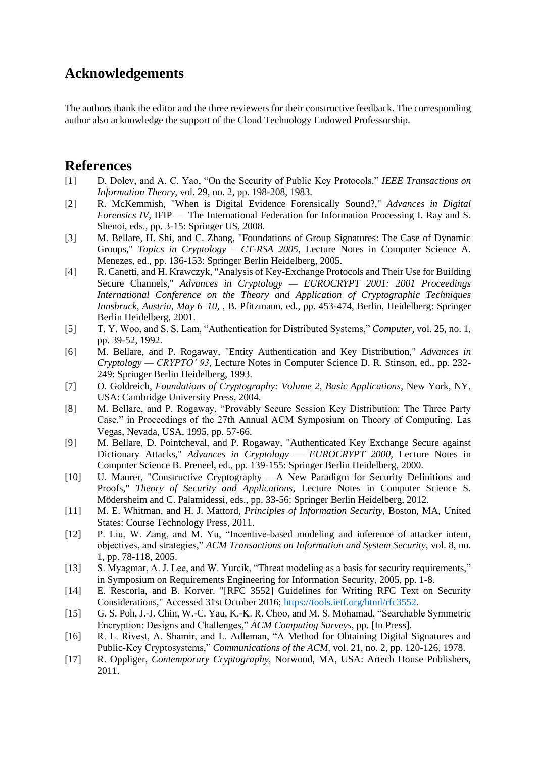## **Acknowledgements**

The authors thank the editor and the three reviewers for their constructive feedback. The corresponding author also acknowledge the support of the Cloud Technology Endowed Professorship.

## **References**

- [1] D. Dolev, and A. C. Yao, "On the Security of Public Key Protocols," *IEEE Transactions on Information Theory,* vol. 29, no. 2, pp. 198-208, 1983.
- [2] R. McKemmish, "When is Digital Evidence Forensically Sound?," *Advances in Digital Forensics IV*, IFIP — The International Federation for Information Processing I. Ray and S. Shenoi, eds., pp. 3-15: Springer US, 2008.
- [3] M. Bellare, H. Shi, and C. Zhang, "Foundations of Group Signatures: The Case of Dynamic Groups," *Topics in Cryptology – CT-RSA 2005*, Lecture Notes in Computer Science A. Menezes, ed., pp. 136-153: Springer Berlin Heidelberg, 2005.
- [4] R. Canetti, and H. Krawczyk, "Analysis of Key-Exchange Protocols and Their Use for Building Secure Channels," *Advances in Cryptology — EUROCRYPT 2001: 2001 Proceedings International Conference on the Theory and Application of Cryptographic Techniques Innsbruck, Austria, May 6–10,* , B. Pfitzmann, ed., pp. 453-474, Berlin, Heidelberg: Springer Berlin Heidelberg, 2001.
- [5] T. Y. Woo, and S. S. Lam, "Authentication for Distributed Systems," *Computer,* vol. 25, no. 1, pp. 39-52, 1992.
- [6] M. Bellare, and P. Rogaway, "Entity Authentication and Key Distribution," *Advances in Cryptology — CRYPTO' 93*, Lecture Notes in Computer Science D. R. Stinson, ed., pp. 232- 249: Springer Berlin Heidelberg, 1993.
- [7] O. Goldreich, *Foundations of Cryptography: Volume 2, Basic Applications*, New York, NY, USA: Cambridge University Press, 2004.
- [8] M. Bellare, and P. Rogaway, "Provably Secure Session Key Distribution: The Three Party Case," in Proceedings of the 27th Annual ACM Symposium on Theory of Computing, Las Vegas, Nevada, USA, 1995, pp. 57-66.
- [9] M. Bellare, D. Pointcheval, and P. Rogaway, "Authenticated Key Exchange Secure against Dictionary Attacks," *Advances in Cryptology — EUROCRYPT 2000*, Lecture Notes in Computer Science B. Preneel, ed., pp. 139-155: Springer Berlin Heidelberg, 2000.
- [10] U. Maurer, "Constructive Cryptography A New Paradigm for Security Definitions and Proofs," *Theory of Security and Applications*, Lecture Notes in Computer Science S. Mödersheim and C. Palamidessi, eds., pp. 33-56: Springer Berlin Heidelberg, 2012.
- [11] M. E. Whitman, and H. J. Mattord, *Principles of Information Security*, Boston, MA, United States: Course Technology Press, 2011.
- [12] P. Liu, W. Zang, and M. Yu, "Incentive-based modeling and inference of attacker intent, objectives, and strategies," *ACM Transactions on Information and System Security,* vol. 8, no. 1, pp. 78-118, 2005.
- [13] S. Myagmar, A. J. Lee, and W. Yurcik, "Threat modeling as a basis for security requirements," in Symposium on Requirements Engineering for Information Security, 2005, pp. 1-8.
- [14] E. Rescorla, and B. Korver. "[RFC 3552] Guidelines for Writing RFC Text on Security Considerations," Accessed 31st October 2016; [https://tools.ietf.org/html/rfc3552.](https://tools.ietf.org/html/rfc3552)
- [15] G. S. Poh, J.-J. Chin, W.-C. Yau, K.-K. R. Choo, and M. S. Mohamad, "Searchable Symmetric Encryption: Designs and Challenges," *ACM Computing Surveys*, pp. [In Press].
- [16] R. L. Rivest, A. Shamir, and L. Adleman, "A Method for Obtaining Digital Signatures and Public-Key Cryptosystems," *Communications of the ACM,* vol. 21, no. 2, pp. 120-126, 1978.
- [17] R. Oppliger, *Contemporary Cryptography*, Norwood, MA, USA: Artech House Publishers, 2011.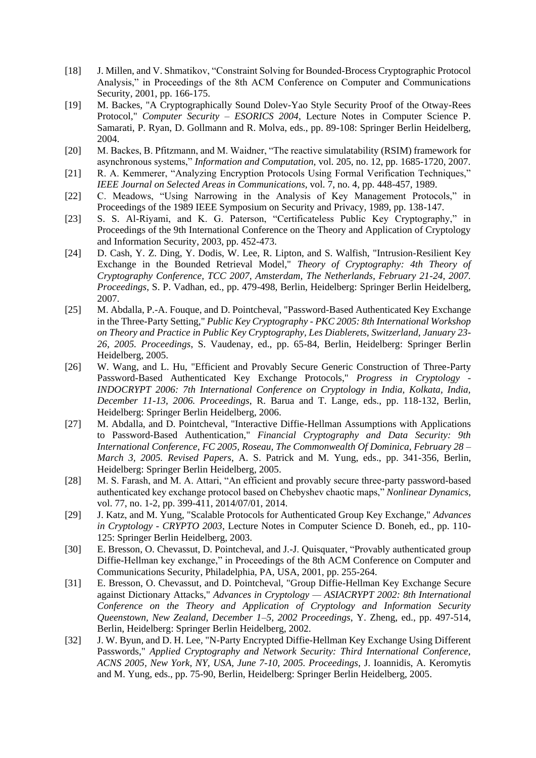- [18] J. Millen, and V. Shmatikov, "Constraint Solving for Bounded-Brocess Cryptographic Protocol Analysis," in Proceedings of the 8th ACM Conference on Computer and Communications Security, 2001, pp. 166-175.
- [19] M. Backes, "A Cryptographically Sound Dolev-Yao Style Security Proof of the Otway-Rees Protocol," *Computer Security – ESORICS 2004*, Lecture Notes in Computer Science P. Samarati, P. Ryan, D. Gollmann and R. Molva, eds., pp. 89-108: Springer Berlin Heidelberg, 2004.
- [20] M. Backes, B. Pfitzmann, and M. Waidner, "The reactive simulatability (RSIM) framework for asynchronous systems," *Information and Computation,* vol. 205, no. 12, pp. 1685-1720, 2007.
- [21] R. A. Kemmerer, "Analyzing Encryption Protocols Using Formal Verification Techniques," *IEEE Journal on Selected Areas in Communications,* vol. 7, no. 4, pp. 448-457, 1989.
- [22] C. Meadows, "Using Narrowing in the Analysis of Key Management Protocols," in Proceedings of the 1989 IEEE Symposium on Security and Privacy, 1989, pp. 138-147.
- [23] S. S. Al-Riyami, and K. G. Paterson, "Certificateless Public Key Cryptography," in Proceedings of the 9th International Conference on the Theory and Application of Cryptology and Information Security, 2003, pp. 452-473.
- [24] D. Cash, Y. Z. Ding, Y. Dodis, W. Lee, R. Lipton, and S. Walfish, "Intrusion-Resilient Key Exchange in the Bounded Retrieval Model," *Theory of Cryptography: 4th Theory of Cryptography Conference, TCC 2007, Amsterdam, The Netherlands, February 21-24, 2007. Proceedings*, S. P. Vadhan, ed., pp. 479-498, Berlin, Heidelberg: Springer Berlin Heidelberg, 2007.
- [25] M. Abdalla, P.-A. Fouque, and D. Pointcheval, "Password-Based Authenticated Key Exchange in the Three-Party Setting," *Public Key Cryptography - PKC 2005: 8th International Workshop on Theory and Practice in Public Key Cryptography, Les Diablerets, Switzerland, January 23- 26, 2005. Proceedings*, S. Vaudenay, ed., pp. 65-84, Berlin, Heidelberg: Springer Berlin Heidelberg, 2005.
- [26] W. Wang, and L. Hu, "Efficient and Provably Secure Generic Construction of Three-Party Password-Based Authenticated Key Exchange Protocols," *Progress in Cryptology - INDOCRYPT 2006: 7th International Conference on Cryptology in India, Kolkata, India, December 11-13, 2006. Proceedings*, R. Barua and T. Lange, eds., pp. 118-132, Berlin, Heidelberg: Springer Berlin Heidelberg, 2006.
- [27] M. Abdalla, and D. Pointcheval, "Interactive Diffie-Hellman Assumptions with Applications to Password-Based Authentication," *Financial Cryptography and Data Security: 9th International Conference, FC 2005, Roseau, The Commonwealth Of Dominica, February 28 – March 3, 2005. Revised Papers*, A. S. Patrick and M. Yung, eds., pp. 341-356, Berlin, Heidelberg: Springer Berlin Heidelberg, 2005.
- [28] M. S. Farash, and M. A. Attari, "An efficient and provably secure three-party password-based authenticated key exchange protocol based on Chebyshev chaotic maps," *Nonlinear Dynamics,* vol. 77, no. 1-2, pp. 399-411, 2014/07/01, 2014.
- [29] J. Katz, and M. Yung, "Scalable Protocols for Authenticated Group Key Exchange," *Advances in Cryptology - CRYPTO 2003*, Lecture Notes in Computer Science D. Boneh, ed., pp. 110- 125: Springer Berlin Heidelberg, 2003.
- [30] E. Bresson, O. Chevassut, D. Pointcheval, and J.-J. Quisquater, "Provably authenticated group Diffie-Hellman key exchange," in Proceedings of the 8th ACM Conference on Computer and Communications Security, Philadelphia, PA, USA, 2001, pp. 255-264.
- [31] E. Bresson, O. Chevassut, and D. Pointcheval, "Group Diffie-Hellman Key Exchange Secure against Dictionary Attacks," *Advances in Cryptology — ASIACRYPT 2002: 8th International Conference on the Theory and Application of Cryptology and Information Security Queenstown, New Zealand, December 1–5, 2002 Proceedings*, Y. Zheng, ed., pp. 497-514, Berlin, Heidelberg: Springer Berlin Heidelberg, 2002.
- [32] J. W. Byun, and D. H. Lee, "N-Party Encrypted Diffie-Hellman Key Exchange Using Different Passwords," *Applied Cryptography and Network Security: Third International Conference, ACNS 2005, New York, NY, USA, June 7-10, 2005. Proceedings*, J. Ioannidis, A. Keromytis and M. Yung, eds., pp. 75-90, Berlin, Heidelberg: Springer Berlin Heidelberg, 2005.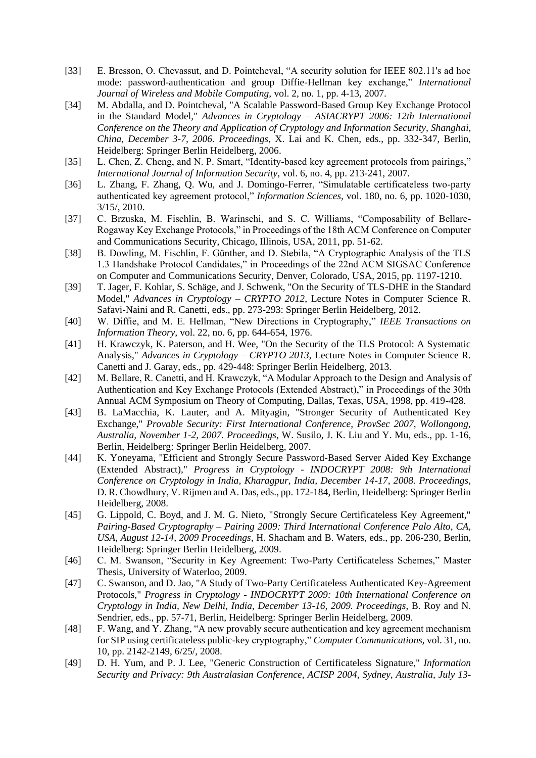- [33] E. Bresson, O. Chevassut, and D. Pointcheval, "A security solution for IEEE 802.11's ad hoc mode: password-authentication and group Diffie-Hellman key exchange," *International Journal of Wireless and Mobile Computing,* vol. 2, no. 1, pp. 4-13, 2007.
- [34] M. Abdalla, and D. Pointcheval, "A Scalable Password-Based Group Key Exchange Protocol in the Standard Model," *Advances in Cryptology – ASIACRYPT 2006: 12th International Conference on the Theory and Application of Cryptology and Information Security, Shanghai, China, December 3-7, 2006. Proceedings*, X. Lai and K. Chen, eds., pp. 332-347, Berlin, Heidelberg: Springer Berlin Heidelberg, 2006.
- [35] L. Chen, Z. Cheng, and N. P. Smart, "Identity-based key agreement protocols from pairings," *International Journal of Information Security,* vol. 6, no. 4, pp. 213-241, 2007.
- [36] L. Zhang, F. Zhang, Q. Wu, and J. Domingo-Ferrer, "Simulatable certificateless two-party authenticated key agreement protocol," *Information Sciences,* vol. 180, no. 6, pp. 1020-1030, 3/15/, 2010.
- [37] C. Brzuska, M. Fischlin, B. Warinschi, and S. C. Williams, "Composability of Bellare-Rogaway Key Exchange Protocols," in Proceedings of the 18th ACM Conference on Computer and Communications Security, Chicago, Illinois, USA, 2011, pp. 51-62.
- [38] B. Dowling, M. Fischlin, F. Günther, and D. Stebila, "A Cryptographic Analysis of the TLS 1.3 Handshake Protocol Candidates," in Proceedings of the 22nd ACM SIGSAC Conference on Computer and Communications Security, Denver, Colorado, USA, 2015, pp. 1197-1210.
- [39] T. Jager, F. Kohlar, S. Schäge, and J. Schwenk, "On the Security of TLS-DHE in the Standard Model," *Advances in Cryptology – CRYPTO 2012*, Lecture Notes in Computer Science R. Safavi-Naini and R. Canetti, eds., pp. 273-293: Springer Berlin Heidelberg, 2012.
- [40] W. Diffie, and M. E. Hellman, "New Directions in Cryptography," *IEEE Transactions on Information Theory,* vol. 22, no. 6, pp. 644-654, 1976.
- [41] H. Krawczyk, K. Paterson, and H. Wee, "On the Security of the TLS Protocol: A Systematic Analysis," *Advances in Cryptology – CRYPTO 2013*, Lecture Notes in Computer Science R. Canetti and J. Garay, eds., pp. 429-448: Springer Berlin Heidelberg, 2013.
- [42] M. Bellare, R. Canetti, and H. Krawczyk, "A Modular Approach to the Design and Analysis of Authentication and Key Exchange Protocols (Extended Abstract)," in Proceedings of the 30th Annual ACM Symposium on Theory of Computing, Dallas, Texas, USA, 1998, pp. 419-428.
- [43] B. LaMacchia, K. Lauter, and A. Mityagin, "Stronger Security of Authenticated Key Exchange," *Provable Security: First International Conference, ProvSec 2007, Wollongong, Australia, November 1-2, 2007. Proceedings*, W. Susilo, J. K. Liu and Y. Mu, eds., pp. 1-16, Berlin, Heidelberg: Springer Berlin Heidelberg, 2007.
- [44] K. Yoneyama, "Efficient and Strongly Secure Password-Based Server Aided Key Exchange (Extended Abstract)," *Progress in Cryptology - INDOCRYPT 2008: 9th International Conference on Cryptology in India, Kharagpur, India, December 14-17, 2008. Proceedings*, D. R. Chowdhury, V. Rijmen and A. Das, eds., pp. 172-184, Berlin, Heidelberg: Springer Berlin Heidelberg, 2008.
- [45] G. Lippold, C. Boyd, and J. M. G. Nieto, "Strongly Secure Certificateless Key Agreement," *Pairing-Based Cryptography – Pairing 2009: Third International Conference Palo Alto, CA, USA, August 12-14, 2009 Proceedings*, H. Shacham and B. Waters, eds., pp. 206-230, Berlin, Heidelberg: Springer Berlin Heidelberg, 2009.
- [46] C. M. Swanson, "Security in Key Agreement: Two-Party Certificateless Schemes," Master Thesis, University of Waterloo, 2009.
- [47] C. Swanson, and D. Jao, "A Study of Two-Party Certificateless Authenticated Key-Agreement Protocols," *Progress in Cryptology - INDOCRYPT 2009: 10th International Conference on Cryptology in India, New Delhi, India, December 13-16, 2009. Proceedings*, B. Roy and N. Sendrier, eds., pp. 57-71, Berlin, Heidelberg: Springer Berlin Heidelberg, 2009.
- [48] F. Wang, and Y. Zhang, "A new provably secure authentication and key agreement mechanism for SIP using certificateless public-key cryptography," *Computer Communications,* vol. 31, no. 10, pp. 2142-2149, 6/25/, 2008.
- [49] D. H. Yum, and P. J. Lee, "Generic Construction of Certificateless Signature," *Information Security and Privacy: 9th Australasian Conference, ACISP 2004, Sydney, Australia, July 13-*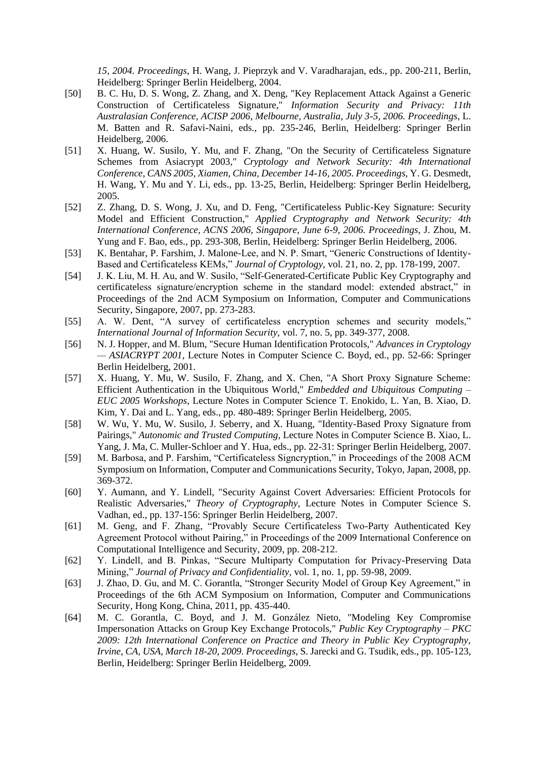*15, 2004. Proceedings*, H. Wang, J. Pieprzyk and V. Varadharajan, eds., pp. 200-211, Berlin, Heidelberg: Springer Berlin Heidelberg, 2004.

- [50] B. C. Hu, D. S. Wong, Z. Zhang, and X. Deng, "Key Replacement Attack Against a Generic Construction of Certificateless Signature," *Information Security and Privacy: 11th Australasian Conference, ACISP 2006, Melbourne, Australia, July 3-5, 2006. Proceedings*, L. M. Batten and R. Safavi-Naini, eds., pp. 235-246, Berlin, Heidelberg: Springer Berlin Heidelberg, 2006.
- [51] X. Huang, W. Susilo, Y. Mu, and F. Zhang, "On the Security of Certificateless Signature Schemes from Asiacrypt 2003," *Cryptology and Network Security: 4th International Conference, CANS 2005, Xiamen, China, December 14-16, 2005. Proceedings*, Y. G. Desmedt, H. Wang, Y. Mu and Y. Li, eds., pp. 13-25, Berlin, Heidelberg: Springer Berlin Heidelberg, 2005.
- [52] Z. Zhang, D. S. Wong, J. Xu, and D. Feng, "Certificateless Public-Key Signature: Security Model and Efficient Construction," *Applied Cryptography and Network Security: 4th International Conference, ACNS 2006, Singapore, June 6-9, 2006. Proceedings*, J. Zhou, M. Yung and F. Bao, eds., pp. 293-308, Berlin, Heidelberg: Springer Berlin Heidelberg, 2006.
- [53] K. Bentahar, P. Farshim, J. Malone-Lee, and N. P. Smart, "Generic Constructions of Identity-Based and Certificateless KEMs," *Journal of Cryptology,* vol. 21, no. 2, pp. 178-199, 2007.
- [54] J. K. Liu, M. H. Au, and W. Susilo, "Self-Generated-Certificate Public Key Cryptography and certificateless signature/encryption scheme in the standard model: extended abstract," in Proceedings of the 2nd ACM Symposium on Information, Computer and Communications Security, Singapore, 2007, pp. 273-283.
- [55] A. W. Dent, "A survey of certificateless encryption schemes and security models," *International Journal of Information Security,* vol. 7, no. 5, pp. 349-377, 2008.
- [56] N. J. Hopper, and M. Blum, "Secure Human Identification Protocols," *Advances in Cryptology — ASIACRYPT 2001*, Lecture Notes in Computer Science C. Boyd, ed., pp. 52-66: Springer Berlin Heidelberg, 2001.
- [57] X. Huang, Y. Mu, W. Susilo, F. Zhang, and X. Chen, "A Short Proxy Signature Scheme: Efficient Authentication in the Ubiquitous World," *Embedded and Ubiquitous Computing – EUC 2005 Workshops*, Lecture Notes in Computer Science T. Enokido, L. Yan, B. Xiao, D. Kim, Y. Dai and L. Yang, eds., pp. 480-489: Springer Berlin Heidelberg, 2005.
- [58] W. Wu, Y. Mu, W. Susilo, J. Seberry, and X. Huang, "Identity-Based Proxy Signature from Pairings," *Autonomic and Trusted Computing*, Lecture Notes in Computer Science B. Xiao, L. Yang, J. Ma, C. Muller-Schloer and Y. Hua, eds., pp. 22-31: Springer Berlin Heidelberg, 2007.
- [59] M. Barbosa, and P. Farshim, "Certificateless Signcryption," in Proceedings of the 2008 ACM Symposium on Information, Computer and Communications Security, Tokyo, Japan, 2008, pp. 369-372.
- [60] Y. Aumann, and Y. Lindell, "Security Against Covert Adversaries: Efficient Protocols for Realistic Adversaries," *Theory of Cryptography*, Lecture Notes in Computer Science S. Vadhan, ed., pp. 137-156: Springer Berlin Heidelberg, 2007.
- [61] M. Geng, and F. Zhang, "Provably Secure Certificateless Two-Party Authenticated Key Agreement Protocol without Pairing," in Proceedings of the 2009 International Conference on Computational Intelligence and Security, 2009, pp. 208-212.
- [62] Y. Lindell, and B. Pinkas, "Secure Multiparty Computation for Privacy-Preserving Data Mining," *Journal of Privacy and Confidentiality,* vol. 1, no. 1, pp. 59-98, 2009.
- [63] J. Zhao, D. Gu, and M. C. Gorantla, "Stronger Security Model of Group Key Agreement," in Proceedings of the 6th ACM Symposium on Information, Computer and Communications Security, Hong Kong, China, 2011, pp. 435-440.
- [64] M. C. Gorantla, C. Boyd, and J. M. González Nieto, "Modeling Key Compromise Impersonation Attacks on Group Key Exchange Protocols," *Public Key Cryptography – PKC 2009: 12th International Conference on Practice and Theory in Public Key Cryptography, Irvine, CA, USA, March 18-20, 2009. Proceedings*, S. Jarecki and G. Tsudik, eds., pp. 105-123, Berlin, Heidelberg: Springer Berlin Heidelberg, 2009.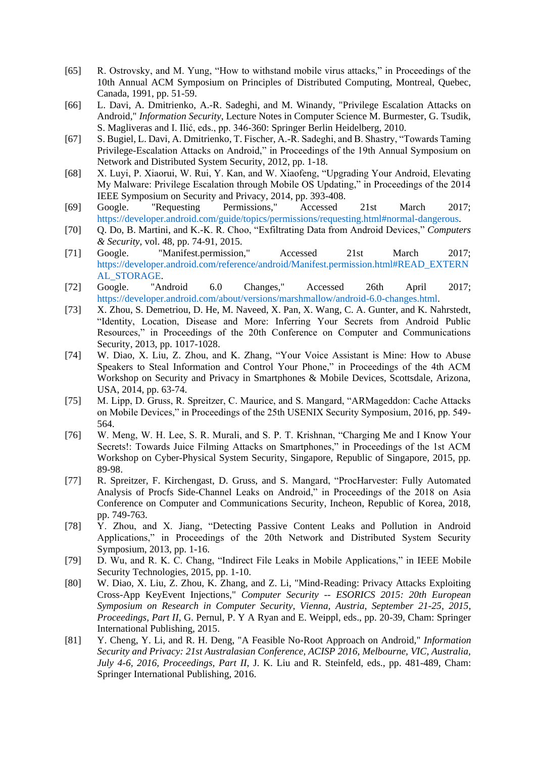- [65] R. Ostrovsky, and M. Yung, "How to withstand mobile virus attacks," in Proceedings of the 10th Annual ACM Symposium on Principles of Distributed Computing, Montreal, Quebec, Canada, 1991, pp. 51-59.
- [66] L. Davi, A. Dmitrienko, A.-R. Sadeghi, and M. Winandy, "Privilege Escalation Attacks on Android," *Information Security*, Lecture Notes in Computer Science M. Burmester, G. Tsudik, S. Magliveras and I. Ilić, eds., pp. 346-360: Springer Berlin Heidelberg, 2010.
- [67] S. Bugiel, L. Davi, A. Dmitrienko, T. Fischer, A.-R. Sadeghi, and B. Shastry, "Towards Taming Privilege-Escalation Attacks on Android," in Proceedings of the 19th Annual Symposium on Network and Distributed System Security, 2012, pp. 1-18.
- [68] X. Luyi, P. Xiaorui, W. Rui, Y. Kan, and W. Xiaofeng, "Upgrading Your Android, Elevating My Malware: Privilege Escalation through Mobile OS Updating," in Proceedings of the 2014 IEEE Symposium on Security and Privacy, 2014, pp. 393-408.
- [69] Google. "Requesting Permissions," Accessed 21st March 2017; [https://developer.android.com/guide/topics/permissions/requesting.html#normal-dangerous.](https://developer.android.com/guide/topics/permissions/requesting.html#normal-dangerous)
- [70] Q. Do, B. Martini, and K.-K. R. Choo, "Exfiltrating Data from Android Devices," *Computers & Security,* vol. 48, pp. 74-91, 2015.
- [71] Google. "Manifest.permission," Accessed 21st March 2017; [https://developer.android.com/reference/android/Manifest.permission.html#READ\\_EXTERN](https://developer.android.com/reference/android/Manifest.permission.html#READ_EXTERNAL_STORAGE) [AL\\_STORAGE.](https://developer.android.com/reference/android/Manifest.permission.html#READ_EXTERNAL_STORAGE)
- [72] Google. "Android 6.0 Changes," Accessed 26th April 2017; [https://developer.android.com/about/versions/marshmallow/android-6.0-changes.html.](https://developer.android.com/about/versions/marshmallow/android-6.0-changes.html)
- [73] X. Zhou, S. Demetriou, D. He, M. Naveed, X. Pan, X. Wang, C. A. Gunter, and K. Nahrstedt, "Identity, Location, Disease and More: Inferring Your Secrets from Android Public Resources," in Proceedings of the 20th Conference on Computer and Communications Security, 2013, pp. 1017-1028.
- [74] W. Diao, X. Liu, Z. Zhou, and K. Zhang, "Your Voice Assistant is Mine: How to Abuse Speakers to Steal Information and Control Your Phone," in Proceedings of the 4th ACM Workshop on Security and Privacy in Smartphones & Mobile Devices, Scottsdale, Arizona, USA, 2014, pp. 63-74.
- [75] M. Lipp, D. Gruss, R. Spreitzer, C. Maurice, and S. Mangard, "ARMageddon: Cache Attacks on Mobile Devices," in Proceedings of the 25th USENIX Security Symposium, 2016, pp. 549- 564.
- [76] W. Meng, W. H. Lee, S. R. Murali, and S. P. T. Krishnan, "Charging Me and I Know Your Secrets!: Towards Juice Filming Attacks on Smartphones," in Proceedings of the 1st ACM Workshop on Cyber-Physical System Security, Singapore, Republic of Singapore, 2015, pp. 89-98.
- [77] R. Spreitzer, F. Kirchengast, D. Gruss, and S. Mangard, "ProcHarvester: Fully Automated Analysis of Procfs Side-Channel Leaks on Android," in Proceedings of the 2018 on Asia Conference on Computer and Communications Security, Incheon, Republic of Korea, 2018, pp. 749-763.
- [78] Y. Zhou, and X. Jiang, "Detecting Passive Content Leaks and Pollution in Android Applications," in Proceedings of the 20th Network and Distributed System Security Symposium, 2013, pp. 1-16.
- [79] D. Wu, and R. K. C. Chang, "Indirect File Leaks in Mobile Applications," in IEEE Mobile Security Technologies, 2015, pp. 1-10.
- [80] W. Diao, X. Liu, Z. Zhou, K. Zhang, and Z. Li, "Mind-Reading: Privacy Attacks Exploiting Cross-App KeyEvent Injections," *Computer Security -- ESORICS 2015: 20th European Symposium on Research in Computer Security, Vienna, Austria, September 21-25, 2015, Proceedings, Part II*, G. Pernul, P. Y A Ryan and E. Weippl, eds., pp. 20-39, Cham: Springer International Publishing, 2015.
- [81] Y. Cheng, Y. Li, and R. H. Deng, "A Feasible No-Root Approach on Android," *Information Security and Privacy: 21st Australasian Conference, ACISP 2016, Melbourne, VIC, Australia, July 4-6, 2016, Proceedings, Part II*, J. K. Liu and R. Steinfeld, eds., pp. 481-489, Cham: Springer International Publishing, 2016.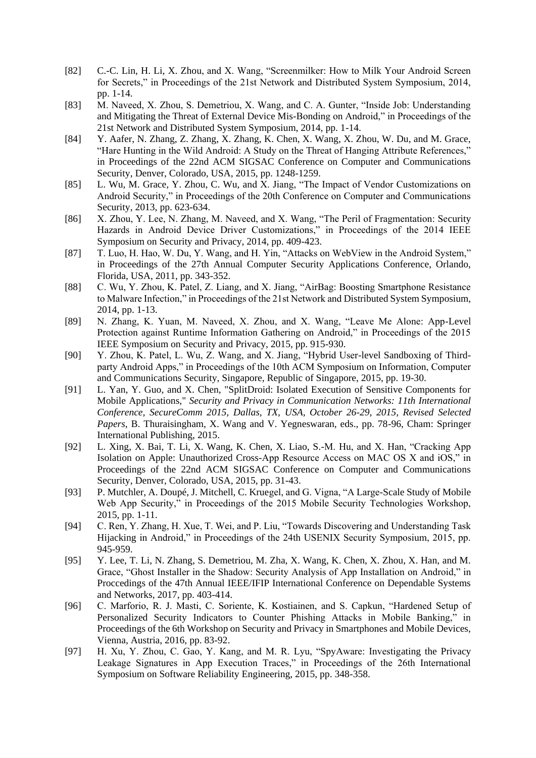- [82] C.-C. Lin, H. Li, X. Zhou, and X. Wang, "Screenmilker: How to Milk Your Android Screen for Secrets," in Proceedings of the 21st Network and Distributed System Symposium, 2014, pp. 1-14.
- [83] M. Naveed, X. Zhou, S. Demetriou, X. Wang, and C. A. Gunter, "Inside Job: Understanding and Mitigating the Threat of External Device Mis-Bonding on Android," in Proceedings of the 21st Network and Distributed System Symposium, 2014, pp. 1-14.
- [84] Y. Aafer, N. Zhang, Z. Zhang, X. Zhang, K. Chen, X. Wang, X. Zhou, W. Du, and M. Grace, "Hare Hunting in the Wild Android: A Study on the Threat of Hanging Attribute References," in Proceedings of the 22nd ACM SIGSAC Conference on Computer and Communications Security, Denver, Colorado, USA, 2015, pp. 1248-1259.
- [85] L. Wu, M. Grace, Y. Zhou, C. Wu, and X. Jiang, "The Impact of Vendor Customizations on Android Security," in Proceedings of the 20th Conference on Computer and Communications Security, 2013, pp. 623-634.
- [86] X. Zhou, Y. Lee, N. Zhang, M. Naveed, and X. Wang, "The Peril of Fragmentation: Security Hazards in Android Device Driver Customizations," in Proceedings of the 2014 IEEE Symposium on Security and Privacy, 2014, pp. 409-423.
- [87] T. Luo, H. Hao, W. Du, Y. Wang, and H. Yin, "Attacks on WebView in the Android System," in Proceedings of the 27th Annual Computer Security Applications Conference, Orlando, Florida, USA, 2011, pp. 343-352.
- [88] C. Wu, Y. Zhou, K. Patel, Z. Liang, and X. Jiang, "AirBag: Boosting Smartphone Resistance to Malware Infection," in Proceedings of the 21st Network and Distributed System Symposium, 2014, pp. 1-13.
- [89] N. Zhang, K. Yuan, M. Naveed, X. Zhou, and X. Wang, "Leave Me Alone: App-Level Protection against Runtime Information Gathering on Android," in Proceedings of the 2015 IEEE Symposium on Security and Privacy, 2015, pp. 915-930.
- [90] Y. Zhou, K. Patel, L. Wu, Z. Wang, and X. Jiang, "Hybrid User-level Sandboxing of Thirdparty Android Apps," in Proceedings of the 10th ACM Symposium on Information, Computer and Communications Security, Singapore, Republic of Singapore, 2015, pp. 19-30.
- [91] L. Yan, Y. Guo, and X. Chen, "SplitDroid: Isolated Execution of Sensitive Components for Mobile Applications," *Security and Privacy in Communication Networks: 11th International Conference, SecureComm 2015, Dallas, TX, USA, October 26-29, 2015, Revised Selected Papers*, B. Thuraisingham, X. Wang and V. Yegneswaran, eds., pp. 78-96, Cham: Springer International Publishing, 2015.
- [92] L. Xing, X. Bai, T. Li, X. Wang, K. Chen, X. Liao, S.-M. Hu, and X. Han, "Cracking App Isolation on Apple: Unauthorized Cross-App Resource Access on MAC OS X and iOS," in Proceedings of the 22nd ACM SIGSAC Conference on Computer and Communications Security, Denver, Colorado, USA, 2015, pp. 31-43.
- [93] P. Mutchler, A. Doupé, J. Mitchell, C. Kruegel, and G. Vigna, "A Large-Scale Study of Mobile Web App Security," in Proceedings of the 2015 Mobile Security Technologies Workshop, 2015, pp. 1-11.
- [94] C. Ren, Y. Zhang, H. Xue, T. Wei, and P. Liu, "Towards Discovering and Understanding Task Hijacking in Android," in Proceedings of the 24th USENIX Security Symposium, 2015, pp. 945-959.
- [95] Y. Lee, T. Li, N. Zhang, S. Demetriou, M. Zha, X. Wang, K. Chen, X. Zhou, X. Han, and M. Grace, "Ghost Installer in the Shadow: Security Analysis of App Installation on Android," in Proccedings of the 47th Annual IEEE/IFIP International Conference on Dependable Systems and Networks, 2017, pp. 403-414.
- [96] C. Marforio, R. J. Masti, C. Soriente, K. Kostiainen, and S. Capkun, "Hardened Setup of Personalized Security Indicators to Counter Phishing Attacks in Mobile Banking," in Proceedings of the 6th Workshop on Security and Privacy in Smartphones and Mobile Devices, Vienna, Austria, 2016, pp. 83-92.
- [97] H. Xu, Y. Zhou, C. Gao, Y. Kang, and M. R. Lyu, "SpyAware: Investigating the Privacy Leakage Signatures in App Execution Traces," in Proceedings of the 26th International Symposium on Software Reliability Engineering, 2015, pp. 348-358.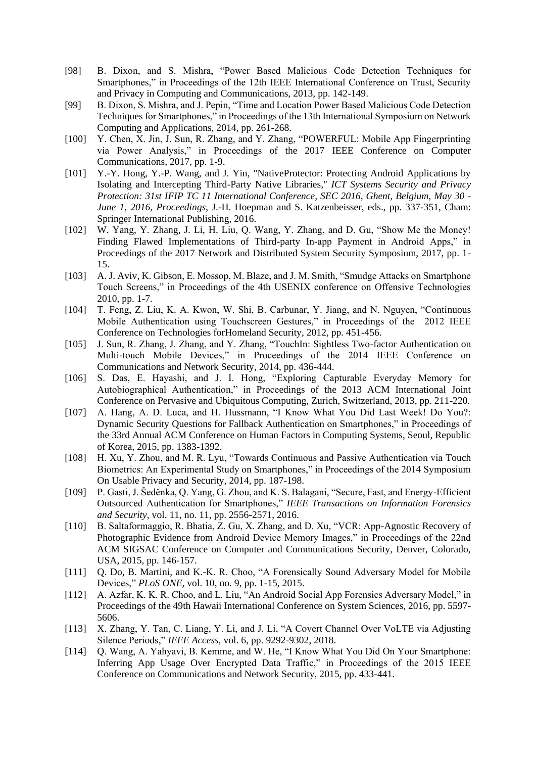- [98] B. Dixon, and S. Mishra, "Power Based Malicious Code Detection Techniques for Smartphones," in Proceedings of the 12th IEEE International Conference on Trust, Security and Privacy in Computing and Communications, 2013, pp. 142-149.
- [99] B. Dixon, S. Mishra, and J. Pepin, "Time and Location Power Based Malicious Code Detection Techniques for Smartphones," in Proceedings of the 13th International Symposium on Network Computing and Applications, 2014, pp. 261-268.
- [100] Y. Chen, X. Jin, J. Sun, R. Zhang, and Y. Zhang, "POWERFUL: Mobile App Fingerprinting via Power Analysis," in Proceedings of the 2017 IEEE Conference on Computer Communications, 2017, pp. 1-9.
- [101] Y.-Y. Hong, Y.-P. Wang, and J. Yin, "NativeProtector: Protecting Android Applications by Isolating and Intercepting Third-Party Native Libraries," *ICT Systems Security and Privacy Protection: 31st IFIP TC 11 International Conference, SEC 2016, Ghent, Belgium, May 30 - June 1, 2016, Proceedings*, J.-H. Hoepman and S. Katzenbeisser, eds., pp. 337-351, Cham: Springer International Publishing, 2016.
- [102] W. Yang, Y. Zhang, J. Li, H. Liu, Q. Wang, Y. Zhang, and D. Gu, "Show Me the Money! Finding Flawed Implementations of Third-party In-app Payment in Android Apps," in Proceedings of the 2017 Network and Distributed System Security Symposium, 2017, pp. 1- 15.
- [103] A. J. Aviv, K. Gibson, E. Mossop, M. Blaze, and J. M. Smith, "Smudge Attacks on Smartphone Touch Screens," in Proceedings of the 4th USENIX conference on Offensive Technologies 2010, pp. 1-7.
- [104] T. Feng, Z. Liu, K. A. Kwon, W. Shi, B. Carbunar, Y. Jiang, and N. Nguyen, "Continuous Mobile Authentication using Touchscreen Gestures," in Proceedings of the 2012 IEEE Conference on Technologies forHomeland Security, 2012, pp. 451-456.
- [105] J. Sun, R. Zhang, J. Zhang, and Y. Zhang, "TouchIn: Sightless Two-factor Authentication on Multi-touch Mobile Devices," in Proceedings of the 2014 IEEE Conference on Communications and Network Security, 2014, pp. 436-444.
- [106] S. Das, E. Hayashi, and J. I. Hong, "Exploring Capturable Everyday Memory for Autobiographical Authentication," in Proceedings of the 2013 ACM International Joint Conference on Pervasive and Ubiquitous Computing, Zurich, Switzerland, 2013, pp. 211-220.
- [107] A. Hang, A. D. Luca, and H. Hussmann, "I Know What You Did Last Week! Do You?: Dynamic Security Questions for Fallback Authentication on Smartphones," in Proceedings of the 33rd Annual ACM Conference on Human Factors in Computing Systems, Seoul, Republic of Korea, 2015, pp. 1383-1392.
- [108] H. Xu, Y. Zhou, and M. R. Lyu, "Towards Continuous and Passive Authentication via Touch Biometrics: An Experimental Study on Smartphones," in Proceedings of the 2014 Symposium On Usable Privacy and Security, 2014, pp. 187-198.
- [109] P. Gasti, J. Šeděnka, Q. Yang, G. Zhou, and K. S. Balagani, "Secure, Fast, and Energy-Efficient Outsourced Authentication for Smartphones," *IEEE Transactions on Information Forensics and Security,* vol. 11, no. 11, pp. 2556-2571, 2016.
- [110] B. Saltaformaggio, R. Bhatia, Z. Gu, X. Zhang, and D. Xu, "VCR: App-Agnostic Recovery of Photographic Evidence from Android Device Memory Images," in Proceedings of the 22nd ACM SIGSAC Conference on Computer and Communications Security, Denver, Colorado, USA, 2015, pp. 146-157.
- [111] Q. Do, B. Martini, and K.-K. R. Choo, "A Forensically Sound Adversary Model for Mobile Devices," *PLoS ONE,* vol. 10, no. 9, pp. 1-15, 2015.
- [112] A. Azfar, K. K. R. Choo, and L. Liu, "An Android Social App Forensics Adversary Model," in Proceedings of the 49th Hawaii International Conference on System Sciences, 2016, pp. 5597- 5606.
- [113] X. Zhang, Y. Tan, C. Liang, Y. Li, and J. Li, "A Covert Channel Over VoLTE via Adjusting Silence Periods," *IEEE Access,* vol. 6, pp. 9292-9302, 2018.
- [114] Q. Wang, A. Yahyavi, B. Kemme, and W. He, "I Know What You Did On Your Smartphone: Inferring App Usage Over Encrypted Data Traffic," in Proceedings of the 2015 IEEE Conference on Communications and Network Security, 2015, pp. 433-441.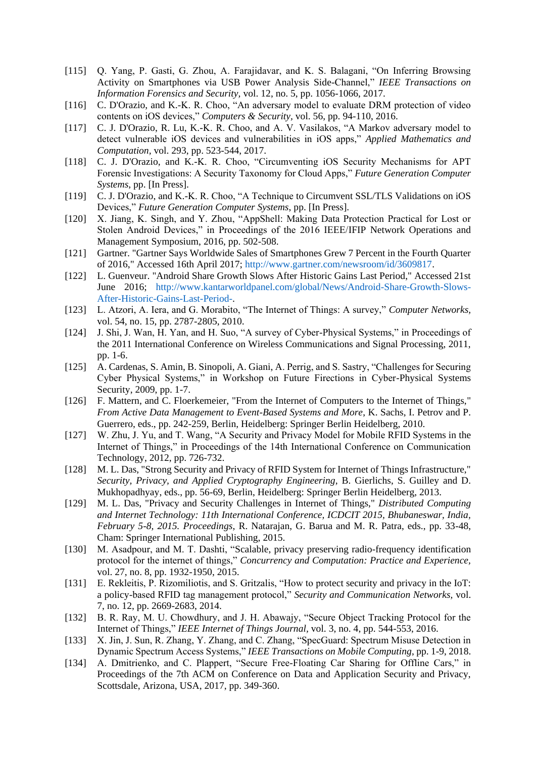- [115] Q. Yang, P. Gasti, G. Zhou, A. Farajidavar, and K. S. Balagani, "On Inferring Browsing Activity on Smartphones via USB Power Analysis Side-Channel," *IEEE Transactions on Information Forensics and Security,* vol. 12, no. 5, pp. 1056-1066, 2017.
- [116] C. D'Orazio, and K.-K. R. Choo, "An adversary model to evaluate DRM protection of video contents on iOS devices," *Computers & Security,* vol. 56, pp. 94-110, 2016.
- [117] C. J. D'Orazio, R. Lu, K.-K. R. Choo, and A. V. Vasilakos, "A Markov adversary model to detect vulnerable iOS devices and vulnerabilities in iOS apps," *Applied Mathematics and Computation,* vol. 293, pp. 523-544, 2017.
- [118] C. J. D'Orazio, and K.-K. R. Choo, "Circumventing iOS Security Mechanisms for APT Forensic Investigations: A Security Taxonomy for Cloud Apps," *Future Generation Computer Systems*, pp. [In Press].
- [119] C. J. D'Orazio, and K.-K. R. Choo, "A Technique to Circumvent SSL/TLS Validations on iOS Devices," *Future Generation Computer Systems*, pp. [In Press].
- [120] X. Jiang, K. Singh, and Y. Zhou, "AppShell: Making Data Protection Practical for Lost or Stolen Android Devices," in Proceedings of the 2016 IEEE/IFIP Network Operations and Management Symposium, 2016, pp. 502-508.
- [121] Gartner. "Gartner Says Worldwide Sales of Smartphones Grew 7 Percent in the Fourth Quarter of 2016," Accessed 16th April 2017; [http://www.gartner.com/newsroom/id/3609817.](http://www.gartner.com/newsroom/id/3609817)
- [122] L. Guenveur. "Android Share Growth Slows After Historic Gains Last Period," Accessed 21st June 2016; [http://www.kantarworldpanel.com/global/News/Android-Share-Growth-Slows-](http://www.kantarworldpanel.com/global/News/Android-Share-Growth-Slows-After-Historic-Gains-Last-Period-)[After-Historic-Gains-Last-Period-.](http://www.kantarworldpanel.com/global/News/Android-Share-Growth-Slows-After-Historic-Gains-Last-Period-)
- [123] L. Atzori, A. Iera, and G. Morabito, "The Internet of Things: A survey," *Computer Networks,* vol. 54, no. 15, pp. 2787-2805, 2010.
- [124] J. Shi, J. Wan, H. Yan, and H. Suo, "A survey of Cyber-Physical Systems," in Proceedings of the 2011 International Conference on Wireless Communications and Signal Processing, 2011, pp. 1-6.
- [125] A. Cardenas, S. Amin, B. Sinopoli, A. Giani, A. Perrig, and S. Sastry, "Challenges for Securing Cyber Physical Systems," in Workshop on Future Firections in Cyber-Physical Systems Security, 2009, pp. 1-7.
- [126] F. Mattern, and C. Floerkemeier, "From the Internet of Computers to the Internet of Things," *From Active Data Management to Event-Based Systems and More*, K. Sachs, I. Petrov and P. Guerrero, eds., pp. 242-259, Berlin, Heidelberg: Springer Berlin Heidelberg, 2010.
- [127] W. Zhu, J. Yu, and T. Wang, "A Security and Privacy Model for Mobile RFID Systems in the Internet of Things," in Proceedings of the 14th International Conference on Communication Technology, 2012, pp. 726-732.
- [128] M. L. Das, "Strong Security and Privacy of RFID System for Internet of Things Infrastructure," *Security, Privacy, and Applied Cryptography Engineering*, B. Gierlichs, S. Guilley and D. Mukhopadhyay, eds., pp. 56-69, Berlin, Heidelberg: Springer Berlin Heidelberg, 2013.
- [129] M. L. Das, "Privacy and Security Challenges in Internet of Things," *Distributed Computing and Internet Technology: 11th International Conference, ICDCIT 2015, Bhubaneswar, India, February 5-8, 2015. Proceedings*, R. Natarajan, G. Barua and M. R. Patra, eds., pp. 33-48, Cham: Springer International Publishing, 2015.
- [130] M. Asadpour, and M. T. Dashti, "Scalable, privacy preserving radio-frequency identification protocol for the internet of things," *Concurrency and Computation: Practice and Experience,* vol. 27, no. 8, pp. 1932-1950, 2015.
- [131] E. Rekleitis, P. Rizomiliotis, and S. Gritzalis, "How to protect security and privacy in the IoT: a policy-based RFID tag management protocol," *Security and Communication Networks,* vol. 7, no. 12, pp. 2669-2683, 2014.
- [132] B. R. Ray, M. U. Chowdhury, and J. H. Abawajy, "Secure Object Tracking Protocol for the Internet of Things," *IEEE Internet of Things Journal,* vol. 3, no. 4, pp. 544-553, 2016.
- [133] X. Jin, J. Sun, R. Zhang, Y. Zhang, and C. Zhang, "SpecGuard: Spectrum Misuse Detection in Dynamic Spectrum Access Systems," *IEEE Transactions on Mobile Computing*, pp. 1-9, 2018.
- [134] A. Dmitrienko, and C. Plappert, "Secure Free-Floating Car Sharing for Offline Cars," in Proceedings of the 7th ACM on Conference on Data and Application Security and Privacy, Scottsdale, Arizona, USA, 2017, pp. 349-360.